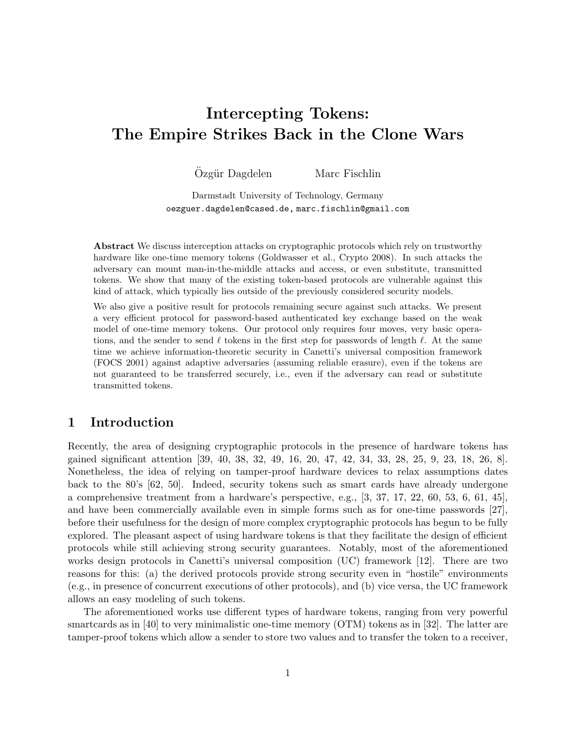# Intercepting Tokens: The Empire Strikes Back in the Clone Wars

Özgür Dagdelen Marc Fischlin

Darmstadt University of Technology, Germany oezguer.dagdelen@cased.de, marc.fischlin@gmail.com

Abstract We discuss interception attacks on cryptographic protocols which rely on trustworthy hardware like one-time memory tokens (Goldwasser et al., Crypto 2008). In such attacks the adversary can mount man-in-the-middle attacks and access, or even substitute, transmitted tokens. We show that many of the existing token-based protocols are vulnerable against this kind of attack, which typically lies outside of the previously considered security models.

We also give a positive result for protocols remaining secure against such attacks. We present a very efficient protocol for password-based authenticated key exchange based on the weak model of one-time memory tokens. Our protocol only requires four moves, very basic operations, and the sender to send  $\ell$  tokens in the first step for passwords of length  $\ell$ . At the same time we achieve information-theoretic security in Canetti's universal composition framework (FOCS 2001) against adaptive adversaries (assuming reliable erasure), even if the tokens are not guaranteed to be transferred securely, i.e., even if the adversary can read or substitute transmitted tokens.

# 1 Introduction

Recently, the area of designing cryptographic protocols in the presence of hardware tokens has gained significant attention [39, 40, 38, 32, 49, 16, 20, 47, 42, 34, 33, 28, 25, 9, 23, 18, 26, 8]. Nonetheless, the idea of relying on tamper-proof hardware devices to relax assumptions dates back to the 80's [62, 50]. Indeed, security tokens such as smart cards have already undergone a comprehensive treatment from a hardware's perspective, e.g.,  $[3, 37, 17, 22, 60, 53, 6, 61, 45]$ , and have been commercially available even in simple forms such as for one-time passwords [27], before their usefulness for the design of more complex cryptographic protocols has begun to be fully explored. The pleasant aspect of using hardware tokens is that they facilitate the design of efficient protocols while still achieving strong security guarantees. Notably, most of the aforementioned works design protocols in Canetti's universal composition (UC) framework [12]. There are two reasons for this: (a) the derived protocols provide strong security even in "hostile" environments (e.g., in presence of concurrent executions of other protocols), and (b) vice versa, the UC framework allows an easy modeling of such tokens.

The aforementioned works use different types of hardware tokens, ranging from very powerful smartcards as in [40] to very minimalistic one-time memory (OTM) tokens as in [32]. The latter are tamper-proof tokens which allow a sender to store two values and to transfer the token to a receiver,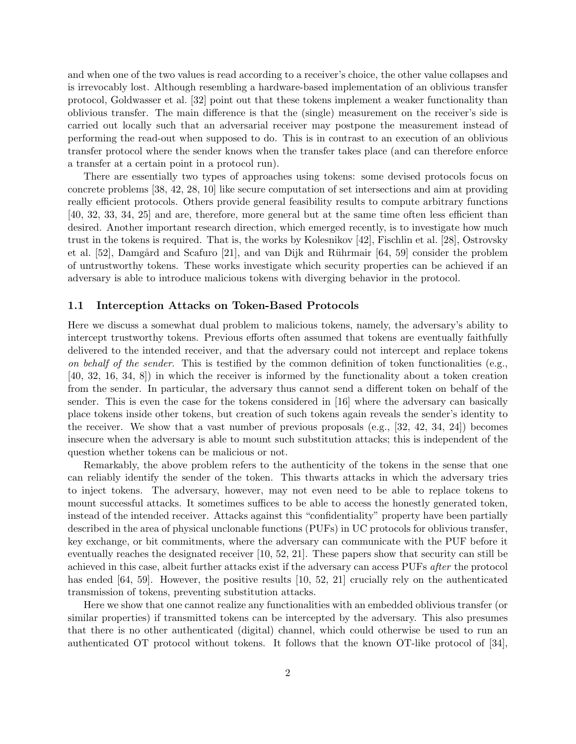and when one of the two values is read according to a receiver's choice, the other value collapses and is irrevocably lost. Although resembling a hardware-based implementation of an oblivious transfer protocol, Goldwasser et al. [32] point out that these tokens implement a weaker functionality than oblivious transfer. The main difference is that the (single) measurement on the receiver's side is carried out locally such that an adversarial receiver may postpone the measurement instead of performing the read-out when supposed to do. This is in contrast to an execution of an oblivious transfer protocol where the sender knows when the transfer takes place (and can therefore enforce a transfer at a certain point in a protocol run).

There are essentially two types of approaches using tokens: some devised protocols focus on concrete problems [38, 42, 28, 10] like secure computation of set intersections and aim at providing really efficient protocols. Others provide general feasibility results to compute arbitrary functions [40, 32, 33, 34, 25] and are, therefore, more general but at the same time often less efficient than desired. Another important research direction, which emerged recently, is to investigate how much trust in the tokens is required. That is, the works by Kolesnikov [42], Fischlin et al. [28], Ostrovsky et al.  $[52]$ , Damgård and Scafuro  $[21]$ , and van Dijk and Rührmair  $[64, 59]$  consider the problem of untrustworthy tokens. These works investigate which security properties can be achieved if an adversary is able to introduce malicious tokens with diverging behavior in the protocol.

#### 1.1 Interception Attacks on Token-Based Protocols

Here we discuss a somewhat dual problem to malicious tokens, namely, the adversary's ability to intercept trustworthy tokens. Previous efforts often assumed that tokens are eventually faithfully delivered to the intended receiver, and that the adversary could not intercept and replace tokens on behalf of the sender. This is testified by the common definition of token functionalities (e.g., [40, 32, 16, 34, 8]) in which the receiver is informed by the functionality about a token creation from the sender. In particular, the adversary thus cannot send a different token on behalf of the sender. This is even the case for the tokens considered in [16] where the adversary can basically place tokens inside other tokens, but creation of such tokens again reveals the sender's identity to the receiver. We show that a vast number of previous proposals  $(e.g., 32, 42, 34, 24)$  becomes insecure when the adversary is able to mount such substitution attacks; this is independent of the question whether tokens can be malicious or not.

Remarkably, the above problem refers to the authenticity of the tokens in the sense that one can reliably identify the sender of the token. This thwarts attacks in which the adversary tries to inject tokens. The adversary, however, may not even need to be able to replace tokens to mount successful attacks. It sometimes suffices to be able to access the honestly generated token, instead of the intended receiver. Attacks against this "confidentiality" property have been partially described in the area of physical unclonable functions (PUFs) in UC protocols for oblivious transfer, key exchange, or bit commitments, where the adversary can communicate with the PUF before it eventually reaches the designated receiver [10, 52, 21]. These papers show that security can still be achieved in this case, albeit further attacks exist if the adversary can access PUFs after the protocol has ended [64, 59]. However, the positive results [10, 52, 21] crucially rely on the authenticated transmission of tokens, preventing substitution attacks.

Here we show that one cannot realize any functionalities with an embedded oblivious transfer (or similar properties) if transmitted tokens can be intercepted by the adversary. This also presumes that there is no other authenticated (digital) channel, which could otherwise be used to run an authenticated OT protocol without tokens. It follows that the known OT-like protocol of [34],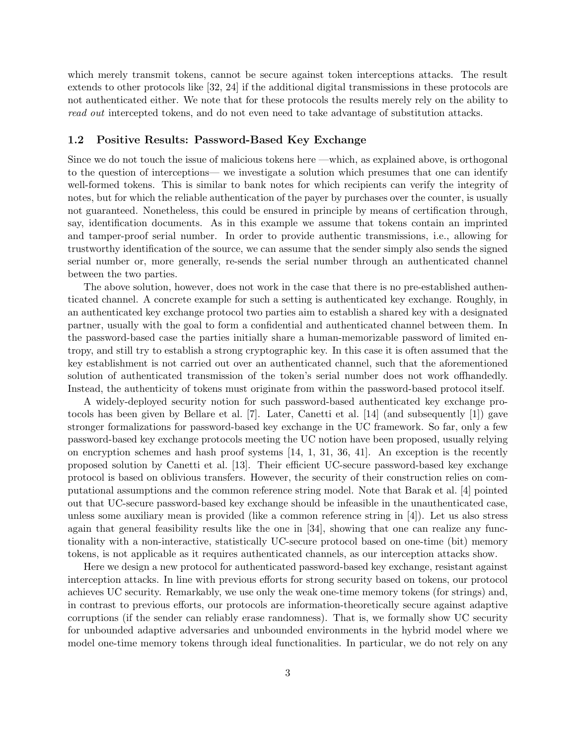which merely transmit tokens, cannot be secure against token interceptions attacks. The result extends to other protocols like [32, 24] if the additional digital transmissions in these protocols are not authenticated either. We note that for these protocols the results merely rely on the ability to read out intercepted tokens, and do not even need to take advantage of substitution attacks.

#### 1.2 Positive Results: Password-Based Key Exchange

Since we do not touch the issue of malicious tokens here —which, as explained above, is orthogonal to the question of interceptions— we investigate a solution which presumes that one can identify well-formed tokens. This is similar to bank notes for which recipients can verify the integrity of notes, but for which the reliable authentication of the payer by purchases over the counter, is usually not guaranteed. Nonetheless, this could be ensured in principle by means of certification through, say, identification documents. As in this example we assume that tokens contain an imprinted and tamper-proof serial number. In order to provide authentic transmissions, i.e., allowing for trustworthy identification of the source, we can assume that the sender simply also sends the signed serial number or, more generally, re-sends the serial number through an authenticated channel between the two parties.

The above solution, however, does not work in the case that there is no pre-established authenticated channel. A concrete example for such a setting is authenticated key exchange. Roughly, in an authenticated key exchange protocol two parties aim to establish a shared key with a designated partner, usually with the goal to form a confidential and authenticated channel between them. In the password-based case the parties initially share a human-memorizable password of limited entropy, and still try to establish a strong cryptographic key. In this case it is often assumed that the key establishment is not carried out over an authenticated channel, such that the aforementioned solution of authenticated transmission of the token's serial number does not work offhandedly. Instead, the authenticity of tokens must originate from within the password-based protocol itself.

A widely-deployed security notion for such password-based authenticated key exchange protocols has been given by Bellare et al. [7]. Later, Canetti et al. [14] (and subsequently [1]) gave stronger formalizations for password-based key exchange in the UC framework. So far, only a few password-based key exchange protocols meeting the UC notion have been proposed, usually relying on encryption schemes and hash proof systems  $[14, 1, 31, 36, 41]$ . An exception is the recently proposed solution by Canetti et al. [13]. Their efficient UC-secure password-based key exchange protocol is based on oblivious transfers. However, the security of their construction relies on computational assumptions and the common reference string model. Note that Barak et al. [4] pointed out that UC-secure password-based key exchange should be infeasible in the unauthenticated case, unless some auxiliary mean is provided (like a common reference string in [4]). Let us also stress again that general feasibility results like the one in [34], showing that one can realize any functionality with a non-interactive, statistically UC-secure protocol based on one-time (bit) memory tokens, is not applicable as it requires authenticated channels, as our interception attacks show.

Here we design a new protocol for authenticated password-based key exchange, resistant against interception attacks. In line with previous efforts for strong security based on tokens, our protocol achieves UC security. Remarkably, we use only the weak one-time memory tokens (for strings) and, in contrast to previous efforts, our protocols are information-theoretically secure against adaptive corruptions (if the sender can reliably erase randomness). That is, we formally show UC security for unbounded adaptive adversaries and unbounded environments in the hybrid model where we model one-time memory tokens through ideal functionalities. In particular, we do not rely on any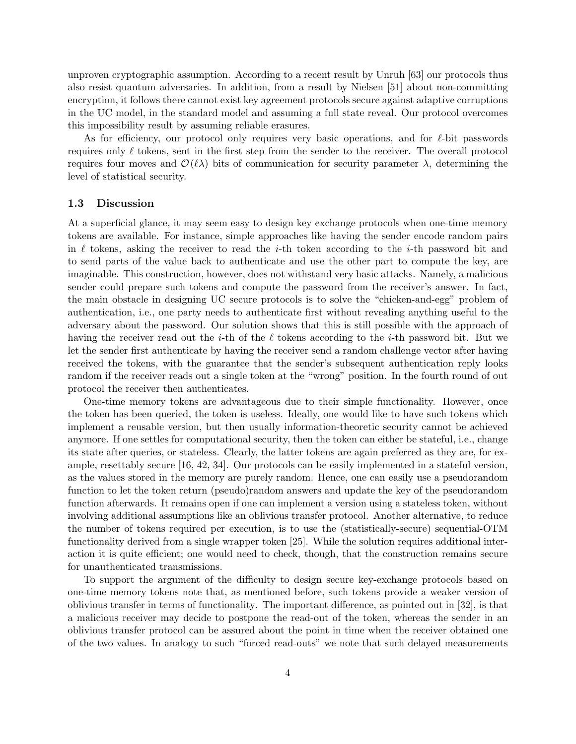unproven cryptographic assumption. According to a recent result by Unruh [63] our protocols thus also resist quantum adversaries. In addition, from a result by Nielsen [51] about non-committing encryption, it follows there cannot exist key agreement protocols secure against adaptive corruptions in the UC model, in the standard model and assuming a full state reveal. Our protocol overcomes this impossibility result by assuming reliable erasures.

As for efficiency, our protocol only requires very basic operations, and for  $\ell$ -bit passwords requires only  $\ell$  tokens, sent in the first step from the sender to the receiver. The overall protocol requires four moves and  $\mathcal{O}(\ell\lambda)$  bits of communication for security parameter  $\lambda$ , determining the level of statistical security.

#### 1.3 Discussion

At a superficial glance, it may seem easy to design key exchange protocols when one-time memory tokens are available. For instance, simple approaches like having the sender encode random pairs in  $\ell$  tokens, asking the receiver to read the *i*-th token according to the *i*-th password bit and to send parts of the value back to authenticate and use the other part to compute the key, are imaginable. This construction, however, does not withstand very basic attacks. Namely, a malicious sender could prepare such tokens and compute the password from the receiver's answer. In fact, the main obstacle in designing UC secure protocols is to solve the "chicken-and-egg" problem of authentication, i.e., one party needs to authenticate first without revealing anything useful to the adversary about the password. Our solution shows that this is still possible with the approach of having the receiver read out the *i*-th of the  $\ell$  tokens according to the *i*-th password bit. But we let the sender first authenticate by having the receiver send a random challenge vector after having received the tokens, with the guarantee that the sender's subsequent authentication reply looks random if the receiver reads out a single token at the "wrong" position. In the fourth round of out protocol the receiver then authenticates.

One-time memory tokens are advantageous due to their simple functionality. However, once the token has been queried, the token is useless. Ideally, one would like to have such tokens which implement a reusable version, but then usually information-theoretic security cannot be achieved anymore. If one settles for computational security, then the token can either be stateful, i.e., change its state after queries, or stateless. Clearly, the latter tokens are again preferred as they are, for example, resettably secure [16, 42, 34]. Our protocols can be easily implemented in a stateful version, as the values stored in the memory are purely random. Hence, one can easily use a pseudorandom function to let the token return (pseudo)random answers and update the key of the pseudorandom function afterwards. It remains open if one can implement a version using a stateless token, without involving additional assumptions like an oblivious transfer protocol. Another alternative, to reduce the number of tokens required per execution, is to use the (statistically-secure) sequential-OTM functionality derived from a single wrapper token [25]. While the solution requires additional interaction it is quite efficient; one would need to check, though, that the construction remains secure for unauthenticated transmissions.

To support the argument of the difficulty to design secure key-exchange protocols based on one-time memory tokens note that, as mentioned before, such tokens provide a weaker version of oblivious transfer in terms of functionality. The important difference, as pointed out in [32], is that a malicious receiver may decide to postpone the read-out of the token, whereas the sender in an oblivious transfer protocol can be assured about the point in time when the receiver obtained one of the two values. In analogy to such "forced read-outs" we note that such delayed measurements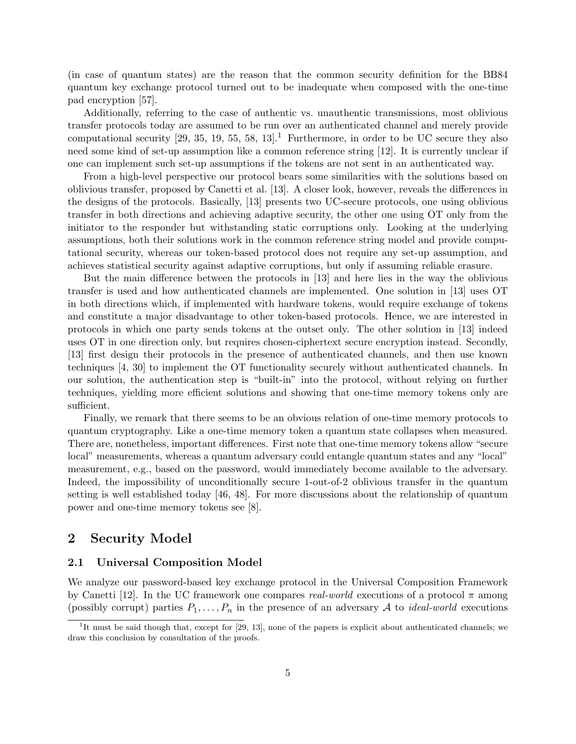(in case of quantum states) are the reason that the common security definition for the BB84 quantum key exchange protocol turned out to be inadequate when composed with the one-time pad encryption [57].

Additionally, referring to the case of authentic vs. unauthentic transmissions, most oblivious transfer protocols today are assumed to be run over an authenticated channel and merely provide computational security  $[29, 35, 19, 55, 58, 13]$ .<sup>1</sup> Furthermore, in order to be UC secure they also need some kind of set-up assumption like a common reference string [12]. It is currently unclear if one can implement such set-up assumptions if the tokens are not sent in an authenticated way.

From a high-level perspective our protocol bears some similarities with the solutions based on oblivious transfer, proposed by Canetti et al. [13]. A closer look, however, reveals the differences in the designs of the protocols. Basically, [13] presents two UC-secure protocols, one using oblivious transfer in both directions and achieving adaptive security, the other one using OT only from the initiator to the responder but withstanding static corruptions only. Looking at the underlying assumptions, both their solutions work in the common reference string model and provide computational security, whereas our token-based protocol does not require any set-up assumption, and achieves statistical security against adaptive corruptions, but only if assuming reliable erasure.

But the main difference between the protocols in [13] and here lies in the way the oblivious transfer is used and how authenticated channels are implemented. One solution in [13] uses OT in both directions which, if implemented with hardware tokens, would require exchange of tokens and constitute a major disadvantage to other token-based protocols. Hence, we are interested in protocols in which one party sends tokens at the outset only. The other solution in [13] indeed uses OT in one direction only, but requires chosen-ciphertext secure encryption instead. Secondly, [13] first design their protocols in the presence of authenticated channels, and then use known techniques [4, 30] to implement the OT functionality securely without authenticated channels. In our solution, the authentication step is "built-in" into the protocol, without relying on further techniques, yielding more efficient solutions and showing that one-time memory tokens only are sufficient.

Finally, we remark that there seems to be an obvious relation of one-time memory protocols to quantum cryptography. Like a one-time memory token a quantum state collapses when measured. There are, nonetheless, important differences. First note that one-time memory tokens allow "secure local" measurements, whereas a quantum adversary could entangle quantum states and any "local" measurement, e.g., based on the password, would immediately become available to the adversary. Indeed, the impossibility of unconditionally secure 1-out-of-2 oblivious transfer in the quantum setting is well established today [46, 48]. For more discussions about the relationship of quantum power and one-time memory tokens see [8].

### 2 Security Model

#### 2.1 Universal Composition Model

We analyze our password-based key exchange protocol in the Universal Composition Framework by Canetti [12]. In the UC framework one compares real-world executions of a protocol  $\pi$  among (possibly corrupt) parties  $P_1, \ldots, P_n$  in the presence of an adversary A to *ideal-world* executions

<sup>&</sup>lt;sup>1</sup>It must be said though that, except for [29, 13], none of the papers is explicit about authenticated channels; we draw this conclusion by consultation of the proofs.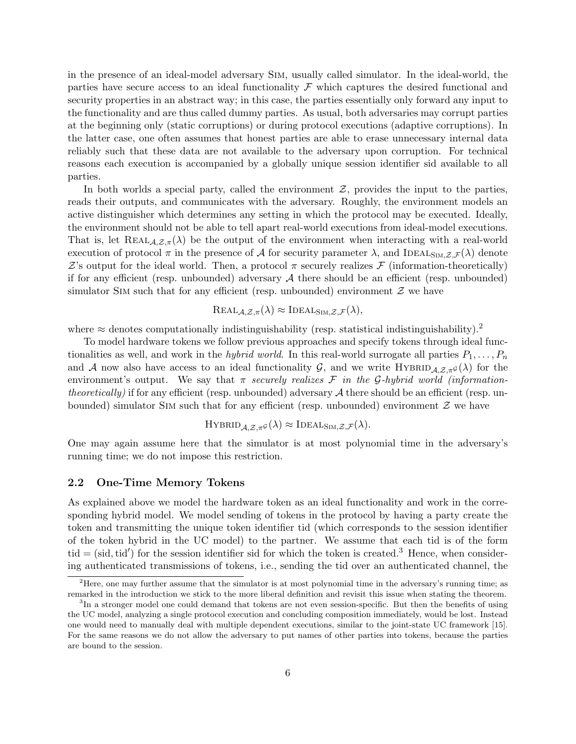in the presence of an ideal-model adversary Sim, usually called simulator. In the ideal-world, the parties have secure access to an ideal functionality  $\mathcal F$  which captures the desired functional and security properties in an abstract way; in this case, the parties essentially only forward any input to the functionality and are thus called dummy parties. As usual, both adversaries may corrupt parties at the beginning only (static corruptions) or during protocol executions (adaptive corruptions). In the latter case, one often assumes that honest parties are able to erase unnecessary internal data reliably such that these data are not available to the adversary upon corruption. For technical reasons each execution is accompanied by a globally unique session identifier sid available to all parties.

In both worlds a special party, called the environment  $\mathcal{Z}$ , provides the input to the parties, reads their outputs, and communicates with the adversary. Roughly, the environment models an active distinguisher which determines any setting in which the protocol may be executed. Ideally, the environment should not be able to tell apart real-world executions from ideal-model executions. That is, let  $REAL_{\mathcal{A},\mathcal{Z},\pi}(\lambda)$  be the output of the environment when interacting with a real-world execution of protocol  $\pi$  in the presence of A for security parameter  $\lambda$ , and IDEAL<sub>SIM, Z, F</sub>( $\lambda$ ) denote  $\mathcal Z$ 's output for the ideal world. Then, a protocol  $\pi$  securely realizes  $\mathcal F$  (information-theoretically) if for any efficient (resp. unbounded) adversary  $A$  there should be an efficient (resp. unbounded) simulator SIM such that for any efficient (resp. unbounded) environment  $\mathcal Z$  we have

$$
REAL_{\mathcal{A},\mathcal{Z},\pi}(\lambda) \approx \text{IDEAL}_{\text{SIM},\mathcal{Z},\mathcal{F}}(\lambda),
$$

where  $\approx$  denotes computationally indistinguishability (resp. statistical indistinguishability).<sup>2</sup>

To model hardware tokens we follow previous approaches and specify tokens through ideal functionalities as well, and work in the *hybrid world*. In this real-world surrogate all parties  $P_1, \ldots, P_n$ and A now also have access to an ideal functionality G, and we write  $HYBRID_{\mathcal{A},\mathcal{Z},\pi^{\mathcal{G}}}(\lambda)$  for the environment's output. We say that  $\pi$  securely realizes  $\mathcal F$  in the G-hybrid world (informationtheoretically) if for any efficient (resp. unbounded) adversary  $A$  there should be an efficient (resp. unbounded) simulator SIM such that for any efficient (resp. unbounded) environment  $\mathcal Z$  we have

$$
\mathrm{HYBRID}_{\mathcal{A},\mathcal{Z},\pi^{\mathcal{G}}}(\lambda) \approx \mathrm{IDEAL}_{\mathrm{SIM},\mathcal{Z},\mathcal{F}}(\lambda).
$$

One may again assume here that the simulator is at most polynomial time in the adversary's running time; we do not impose this restriction.

#### 2.2 One-Time Memory Tokens

As explained above we model the hardware token as an ideal functionality and work in the corresponding hybrid model. We model sending of tokens in the protocol by having a party create the token and transmitting the unique token identifier tid (which corresponds to the session identifier of the token hybrid in the UC model) to the partner. We assume that each tid is of the form  $\text{tid} = (\text{sid}, \text{tid}')$  for the session identifier sid for which the token is created.<sup>3</sup> Hence, when considering authenticated transmissions of tokens, i.e., sending the tid over an authenticated channel, the

<sup>&</sup>lt;sup>2</sup>Here, one may further assume that the simulator is at most polynomial time in the adversary's running time; as remarked in the introduction we stick to the more liberal definition and revisit this issue when stating the theorem.

<sup>&</sup>lt;sup>3</sup>In a stronger model one could demand that tokens are not even session-specific. But then the benefits of using the UC model, analyzing a single protocol execution and concluding composition immediately, would be lost. Instead one would need to manually deal with multiple dependent executions, similar to the joint-state UC framework [15]. For the same reasons we do not allow the adversary to put names of other parties into tokens, because the parties are bound to the session.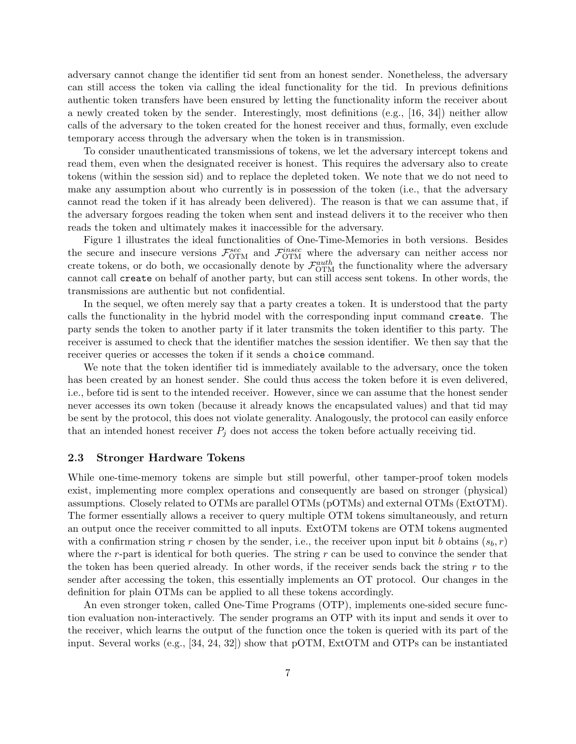adversary cannot change the identifier tid sent from an honest sender. Nonetheless, the adversary can still access the token via calling the ideal functionality for the tid. In previous definitions authentic token transfers have been ensured by letting the functionality inform the receiver about a newly created token by the sender. Interestingly, most definitions (e.g., [16, 34]) neither allow calls of the adversary to the token created for the honest receiver and thus, formally, even exclude temporary access through the adversary when the token is in transmission.

To consider unauthenticated transmissions of tokens, we let the adversary intercept tokens and read them, even when the designated receiver is honest. This requires the adversary also to create tokens (within the session sid) and to replace the depleted token. We note that we do not need to make any assumption about who currently is in possession of the token (i.e., that the adversary cannot read the token if it has already been delivered). The reason is that we can assume that, if the adversary forgoes reading the token when sent and instead delivers it to the receiver who then reads the token and ultimately makes it inaccessible for the adversary.

Figure 1 illustrates the ideal functionalities of One-Time-Memories in both versions. Besides the secure and insecure versions  $\mathcal{F}_{\text{OTM}}^{sec}$  and  $\mathcal{F}_{\text{OTM}}^{insec}$  where the adversary can neither access nor create tokens, or do both, we occasionally denote by  $\mathcal{F}_{\text{OTM}}^{auth}$  the functionality where the adversary cannot call create on behalf of another party, but can still access sent tokens. In other words, the transmissions are authentic but not confidential.

In the sequel, we often merely say that a party creates a token. It is understood that the party calls the functionality in the hybrid model with the corresponding input command create. The party sends the token to another party if it later transmits the token identifier to this party. The receiver is assumed to check that the identifier matches the session identifier. We then say that the receiver queries or accesses the token if it sends a choice command.

We note that the token identifier tid is immediately available to the adversary, once the token has been created by an honest sender. She could thus access the token before it is even delivered, i.e., before tid is sent to the intended receiver. However, since we can assume that the honest sender never accesses its own token (because it already knows the encapsulated values) and that tid may be sent by the protocol, this does not violate generality. Analogously, the protocol can easily enforce that an intended honest receiver  $P_j$  does not access the token before actually receiving tid.

#### 2.3 Stronger Hardware Tokens

While one-time-memory tokens are simple but still powerful, other tamper-proof token models exist, implementing more complex operations and consequently are based on stronger (physical) assumptions. Closely related to OTMs are parallel OTMs (pOTMs) and external OTMs (ExtOTM). The former essentially allows a receiver to query multiple OTM tokens simultaneously, and return an output once the receiver committed to all inputs. ExtOTM tokens are OTM tokens augmented with a confirmation string r chosen by the sender, i.e., the receiver upon input bit b obtains  $(s_b, r)$ where the r-part is identical for both queries. The string  $r$  can be used to convince the sender that the token has been queried already. In other words, if the receiver sends back the string  $r$  to the sender after accessing the token, this essentially implements an OT protocol. Our changes in the definition for plain OTMs can be applied to all these tokens accordingly.

An even stronger token, called One-Time Programs (OTP), implements one-sided secure function evaluation non-interactively. The sender programs an OTP with its input and sends it over to the receiver, which learns the output of the function once the token is queried with its part of the input. Several works (e.g., [34, 24, 32]) show that pOTM, ExtOTM and OTPs can be instantiated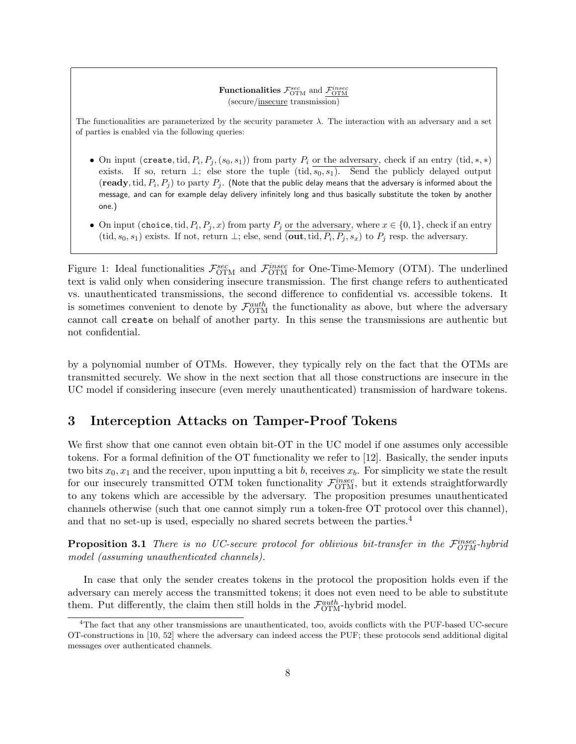#### **Functionalities**  $\mathcal{F}^{sec}_{\text{OTM}}$  and  $\frac{\mathcal{F}^{insec}_{\text{OTM}}}{\mathcal{F}^{in}_{\text{OTM}}}$ (secure/insecure transmission)

The functionalities are parameterized by the security parameter  $\lambda$ . The interaction with an adversary and a set of parties is enabled via the following queries:

- On input (create, tid,  $P_i$ ,  $P_j$ ,  $(s_0, s_1)$ ) from party  $P_i$  or the adversary, check if an entry (tid, \*, \*) exists. If so, return  $\perp$ ; else store the tuple (tid,  $s_0, s_1$ ). Send the publicly delayed output  $({\bf ready}, {\rm tid}, P_i, P_j)$  to  ${\rm party}\ P_j.$  (Note that the public delay means that the adversary is informed about the message, and can for example delay delivery infinitely long and thus basically substitute the token by another one.)
- On input (choice, tid,  $P_i, P_j, x$ ) from party  $P_j$  or the adversary, where  $x \in \{0, 1\}$ , check if an entry (tid,  $s_0, s_1$ ) exists. If not, return  $\perp$ ; else, send (out, tid,  $P_i, P_j, s_x$ ) to  $P_j$  resp. the adversary.

Figure 1: Ideal functionalities  $\mathcal{F}_{\text{OTM}}^{sec}$  and  $\mathcal{F}_{\text{OTM}}^{insec}$  for One-Time-Memory (OTM). The underlined text is valid only when considering insecure transmission. The first change refers to authenticated vs. unauthenticated transmissions, the second difference to confidential vs. accessible tokens. It is sometimes convenient to denote by  $\mathcal{F}_{\text{OTM}}^{auth}$  the functionality as above, but where the adversary cannot call create on behalf of another party. In this sense the transmissions are authentic but not confidential.

by a polynomial number of OTMs. However, they typically rely on the fact that the OTMs are transmitted securely. We show in the next section that all those constructions are insecure in the UC model if considering insecure (even merely unauthenticated) transmission of hardware tokens.

# 3 Interception Attacks on Tamper-Proof Tokens

We first show that one cannot even obtain bit-OT in the UC model if one assumes only accessible tokens. For a formal definition of the OT functionality we refer to [12]. Basically, the sender inputs two bits  $x_0, x_1$  and the receiver, upon inputting a bit b, receives  $x_b$ . For simplicity we state the result for our insecurely transmitted OTM token functionality  $\mathcal{F}_{\text{OTM}}^{insec}$ , but it extends straightforwardly to any tokens which are accessible by the adversary. The proposition presumes unauthenticated channels otherwise (such that one cannot simply run a token-free OT protocol over this channel), and that no set-up is used, especially no shared secrets between the parties.<sup>4</sup>

**Proposition 3.1** There is no UC-secure protocol for oblivious bit-transfer in the  $\mathcal{F}_{OTM}^{insec}$ -hybrid model (assuming unauthenticated channels).

In case that only the sender creates tokens in the protocol the proposition holds even if the adversary can merely access the transmitted tokens; it does not even need to be able to substitute them. Put differently, the claim then still holds in the  $\mathcal{F}_{\text{OTM}}^{auth}$ -hybrid model.

<sup>&</sup>lt;sup>4</sup>The fact that any other transmissions are unauthenticated, too, avoids conflicts with the PUF-based UC-secure OT-constructions in [10, 52] where the adversary can indeed access the PUF; these protocols send additional digital messages over authenticated channels.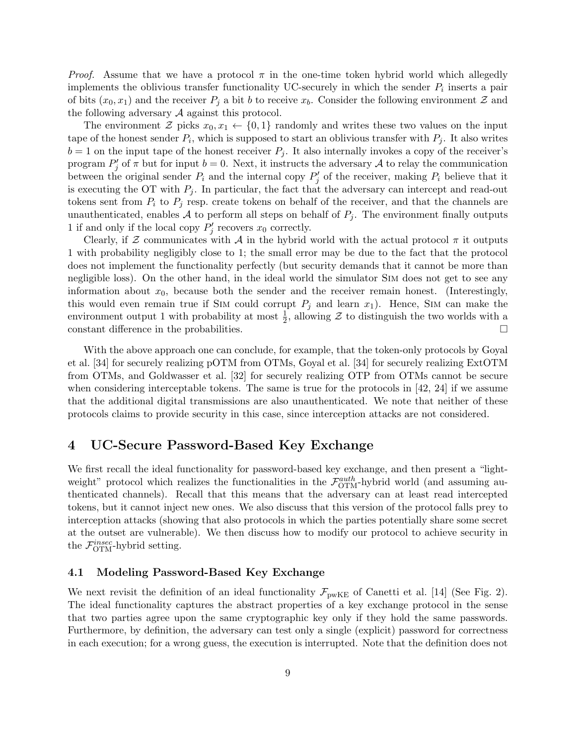*Proof.* Assume that we have a protocol  $\pi$  in the one-time token hybrid world which allegedly implements the oblivious transfer functionality UC-securely in which the sender  $P_i$  inserts a pair of bits  $(x_0, x_1)$  and the receiver  $P_i$  a bit b to receive  $x_b$ . Consider the following environment Z and the following adversary A against this protocol.

The environment  $\mathcal Z$  picks  $x_0, x_1 \leftarrow \{0,1\}$  randomly and writes these two values on the input tape of the honest sender  $P_i$ , which is supposed to start an oblivious transfer with  $P_j$ . It also writes  $b = 1$  on the input tape of the honest receiver  $P_j$ . It also internally invokes a copy of the receiver's program  $P'_j$  of  $\pi$  but for input  $b = 0$ . Next, it instructs the adversary A to relay the communication between the original sender  $P_i$  and the internal copy  $P'_j$  of the receiver, making  $P_i$  believe that it is executing the OT with  $P_j$ . In particular, the fact that the adversary can intercept and read-out tokens sent from  $P_i$  to  $P_j$  resp. create tokens on behalf of the receiver, and that the channels are unauthenticated, enables  $A$  to perform all steps on behalf of  $P_j$ . The environment finally outputs 1 if and only if the local copy  $P'_j$  recovers  $x_0$  correctly.

Clearly, if  $\mathcal Z$  communicates with  $\mathcal A$  in the hybrid world with the actual protocol  $\pi$  it outputs 1 with probability negligibly close to 1; the small error may be due to the fact that the protocol does not implement the functionality perfectly (but security demands that it cannot be more than negligible loss). On the other hand, in the ideal world the simulator Sim does not get to see any information about  $x_0$ , because both the sender and the receiver remain honest. (Interestingly, this would even remain true if SIM could corrupt  $P_j$  and learn  $x_1$ ). Hence, SIM can make the environment output 1 with probability at most  $\frac{1}{2}$ , allowing  $\mathcal Z$  to distinguish the two worlds with a constant difference in the probabilities.

With the above approach one can conclude, for example, that the token-only protocols by Goyal et al. [34] for securely realizing pOTM from OTMs, Goyal et al. [34] for securely realizing ExtOTM from OTMs, and Goldwasser et al. [32] for securely realizing OTP from OTMs cannot be secure when considering interceptable tokens. The same is true for the protocols in [42, 24] if we assume that the additional digital transmissions are also unauthenticated. We note that neither of these protocols claims to provide security in this case, since interception attacks are not considered.

## 4 UC-Secure Password-Based Key Exchange

We first recall the ideal functionality for password-based key exchange, and then present a "lightweight" protocol which realizes the functionalities in the  $\mathcal{F}_{\text{OTM}}^{auth}$ -hybrid world (and assuming authenticated channels). Recall that this means that the adversary can at least read intercepted tokens, but it cannot inject new ones. We also discuss that this version of the protocol falls prey to interception attacks (showing that also protocols in which the parties potentially share some secret at the outset are vulnerable). We then discuss how to modify our protocol to achieve security in the  $\mathcal{F}_{\text{OTM}}^{insec}$ -hybrid setting.

#### 4.1 Modeling Password-Based Key Exchange

We next revisit the definition of an ideal functionality  $\mathcal{F}_{\text{pwKE}}$  of Canetti et al. [14] (See Fig. 2). The ideal functionality captures the abstract properties of a key exchange protocol in the sense that two parties agree upon the same cryptographic key only if they hold the same passwords. Furthermore, by definition, the adversary can test only a single (explicit) password for correctness in each execution; for a wrong guess, the execution is interrupted. Note that the definition does not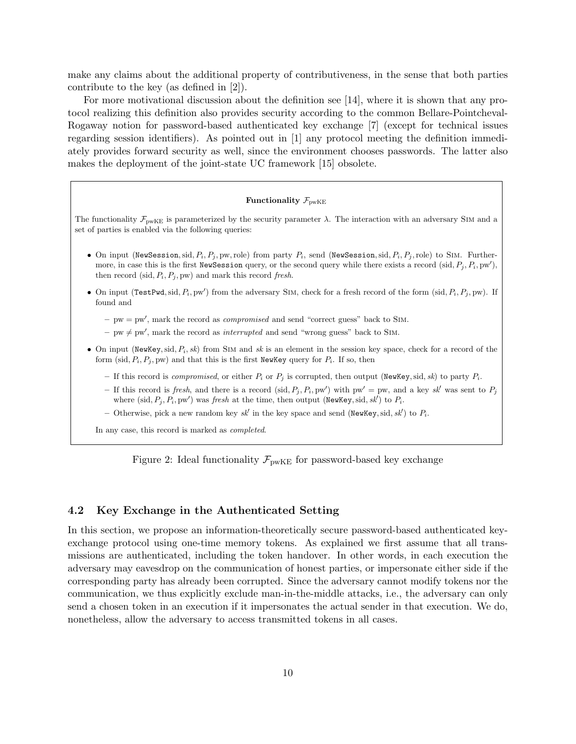make any claims about the additional property of contributiveness, in the sense that both parties contribute to the key (as defined in [2]).

For more motivational discussion about the definition see [14], where it is shown that any protocol realizing this definition also provides security according to the common Bellare-Pointcheval-Rogaway notion for password-based authenticated key exchange [7] (except for technical issues regarding session identifiers). As pointed out in [1] any protocol meeting the definition immediately provides forward security as well, since the environment chooses passwords. The latter also makes the deployment of the joint-state UC framework [15] obsolete.

#### Functionality  $\mathcal{F}_{\text{pwKE}}$

The functionality  $\mathcal{F}_{\text{pwKE}}$  is parameterized by the security parameter  $\lambda$ . The interaction with an adversary SIM and a set of parties is enabled via the following queries:

- On input (NewSession, sid,  $P_i$ ,  $P_j$ , pw, role) from party  $P_i$ , send (NewSession, sid,  $P_i$ ,  $P_j$ , role) to SIM. Furthermore, in case this is the first NewSession query, or the second query while there exists a record (sid,  $P_i$ ,  $P_i$ , pw'), then record (sid,  $P_i$ ,  $P_j$ , pw) and mark this record fresh.
- On input (TestPwd, sid,  $P_i$ , pw') from the adversary SIM, check for a fresh record of the form (sid,  $P_i$ ,  $P_j$ , pw). If found and
	- $-$  pw = pw', mark the record as *compromised* and send "correct guess" back to SIM.
	- pw  $\neq$  pw', mark the record as *interrupted* and send "wrong guess" back to SIM.
- On input (NewKey, sid,  $P_i$ , sk) from SIM and sk is an element in the session key space, check for a record of the form (sid,  $P_i$ ,  $P_j$ , pw) and that this is the first NewKey query for  $P_i$ . If so, then
	- If this record is *compromised*, or either  $P_i$  or  $P_j$  is corrupted, then output (NewKey, sid, sk) to party  $P_i$ .
	- If this record is fresh, and there is a record (sid,  $P_i, P_i, pw'$ ) with pw' = pw, and a key sk' was sent to  $P_i$ where (sid,  $P_j$ ,  $P_i$ , pw') was fresh at the time, then output (NewKey, sid, sk') to  $P_i$ .
	- Otherwise, pick a new random key  $sk'$  in the key space and send (NewKey, sid,  $sk'$ ) to  $P_i$ .

In any case, this record is marked as completed.

Figure 2: Ideal functionality  $\mathcal{F}_{\text{pwKE}}$  for password-based key exchange

#### 4.2 Key Exchange in the Authenticated Setting

In this section, we propose an information-theoretically secure password-based authenticated keyexchange protocol using one-time memory tokens. As explained we first assume that all transmissions are authenticated, including the token handover. In other words, in each execution the adversary may eavesdrop on the communication of honest parties, or impersonate either side if the corresponding party has already been corrupted. Since the adversary cannot modify tokens nor the communication, we thus explicitly exclude man-in-the-middle attacks, i.e., the adversary can only send a chosen token in an execution if it impersonates the actual sender in that execution. We do, nonetheless, allow the adversary to access transmitted tokens in all cases.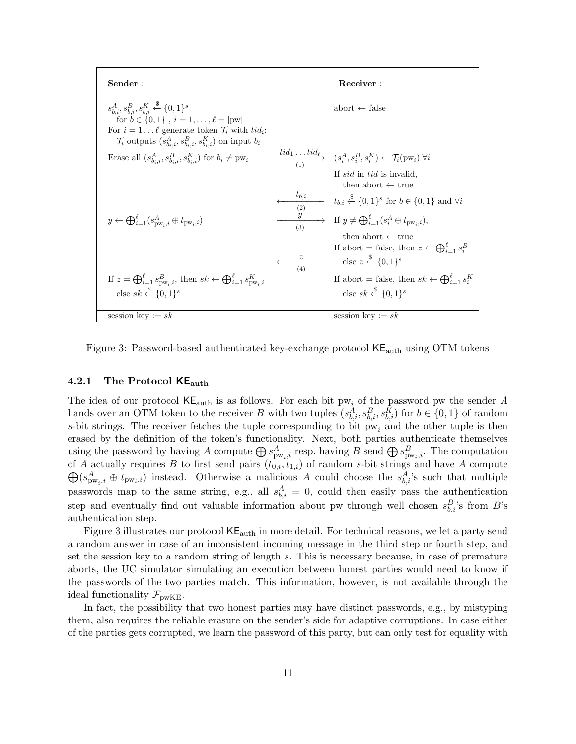| Sender:                                                                                                                                                                                                                                                                           |          | Receiver:                                                                                                                                                                                                                                                                                                                                                                                    |
|-----------------------------------------------------------------------------------------------------------------------------------------------------------------------------------------------------------------------------------------------------------------------------------|----------|----------------------------------------------------------------------------------------------------------------------------------------------------------------------------------------------------------------------------------------------------------------------------------------------------------------------------------------------------------------------------------------------|
| $s_{h,i}^A, s_{h,i}^B, s_{h,i}^K \overset{\$}{\leftarrow} \{0,1\}^s$<br>for $b \in \{0, 1\}$ , $i = 1, , \ell =  pw $<br>For $i = 1 \dots \ell$ generate token $\mathcal{T}_i$ with $tid_i$ :<br>$\mathcal{T}_i$ outputs $(s_{b_i,i}^A, s_{b_i,i}^B, s_{b_i,i}^K)$ on input $b_i$ |          | abort $\leftarrow$ false                                                                                                                                                                                                                                                                                                                                                                     |
| Erase all $(s_{b_i,i}^A, s_{b_i,i}^B, s_{b_i,i}^K)$ for $b_i \neq \text{pw}_i$                                                                                                                                                                                                    |          | $\frac{tid_1 \dots tid_{\ell}}{(1)}$ $(s_i^A, s_i^B, s_i^K) \leftarrow \mathcal{T}_i(\text{pw}_i) \,\forall i$                                                                                                                                                                                                                                                                               |
| $y \leftarrow \bigoplus_{i=1}^{\ell} (s_{\text{DW}_i, i}^A \oplus t_{\text{pw}_i, i})$                                                                                                                                                                                            | (3)<br>z | If sid in tid is invalid.<br>then abort $\leftarrow$ true<br>$t_{b,i}$ $t_{b,i} \xleftarrow{\$} \{0,1\}^s$ for $b \in \{0,1\}$ and $\forall i$<br>$\longrightarrow$ If $y \neq \bigoplus_{i=1}^{\ell} (s_i^A \oplus t_{\text{pw},i}),$<br>then abort $\leftarrow$ true<br>If abort = false, then $z \leftarrow \bigoplus_{i=1}^{\ell} s_i^B$<br>else $z \stackrel{\$}{\leftarrow} \{0,1\}^s$ |
| If $z = \bigoplus_{i=1}^{\ell} s_{\text{pw}_i,i}^B$ , then $sk \leftarrow \bigoplus_{i=1}^{\ell} s_{\text{pw}_i,i}^K$<br>else sk $\xrightarrow{\$} \{0,1\}^s$                                                                                                                     | (4)      | If abort = false, then $sk \leftarrow \bigoplus_{i=1}^{\ell} s_i^{K}$<br>else sk $\xi$ {0,1} <sup>s</sup>                                                                                                                                                                                                                                                                                    |
| session key := $sk$                                                                                                                                                                                                                                                               |          | session key := $sk$                                                                                                                                                                                                                                                                                                                                                                          |

Figure 3: Password-based authenticated key-exchange protocol KEauth using OTM tokens

#### 4.2.1 The Protocol  $KE_{\text{auth}}$

The idea of our protocol  $KE_{\text{auth}}$  is as follows. For each bit pw<sub>i</sub> of the password pw the sender A hands over an OTM token to the receiver B with two tuples  $(s_{b,i}^A, s_{b,i}^B, s_{b,i}^K)$  for  $b \in \{0,1\}$  of random s-bit strings. The receiver fetches the tuple corresponding to bit  $pw_i$  and the other tuple is then erased by the definition of the token's functionality. Next, both parties authenticate themselves using the password by having A compute  $\bigoplus s_{\text{pw}_i,i}^A$  resp. having B send  $\bigoplus s_{\text{pw}_i,i}^B$ . The computation of A actually requires B to first send pairs  $(t_{0,i})$  $\oplus$  $(t_{1,i})$  of random s-bit strings and have A compute  $(s_{\text{pw}_i,i}^A \oplus t_{\text{pw}_i,i})$  instead. Otherwise a malicious A could choose the  $s_{b,i}^A$ 's such that multiple passwords map to the same string, e.g., all  $s_{b,i}^A = 0$ , could then easily pass the authentication step and eventually find out valuable information about pw through well chosen  $s_{b,i}^B$ 's from B's authentication step.

Figure 3 illustrates our protocol  $\mathsf{KE}_{\mathrm{auth}}$  in more detail. For technical reasons, we let a party send a random answer in case of an inconsistent incoming message in the third step or fourth step, and set the session key to a random string of length s. This is necessary because, in case of premature aborts, the UC simulator simulating an execution between honest parties would need to know if the passwords of the two parties match. This information, however, is not available through the ideal functionality  $\mathcal{F}_{\text{pwKE}}$ .

In fact, the possibility that two honest parties may have distinct passwords, e.g., by mistyping them, also requires the reliable erasure on the sender's side for adaptive corruptions. In case either of the parties gets corrupted, we learn the password of this party, but can only test for equality with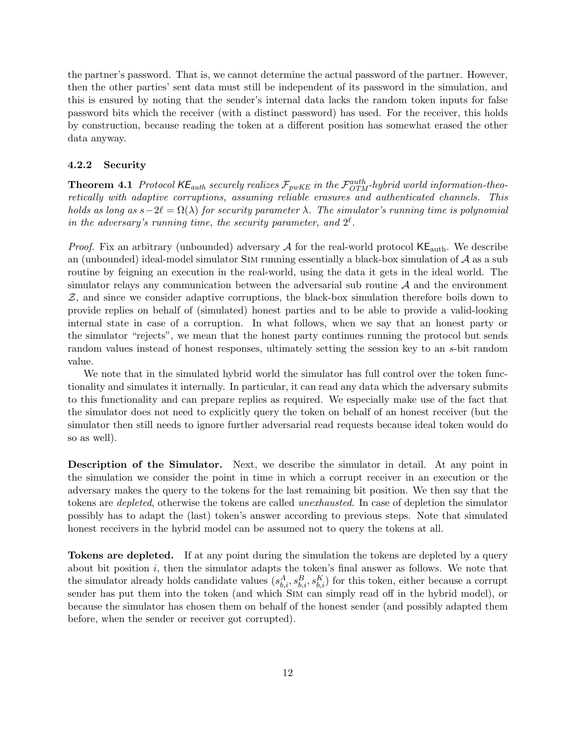the partner's password. That is, we cannot determine the actual password of the partner. However, then the other parties' sent data must still be independent of its password in the simulation, and this is ensured by noting that the sender's internal data lacks the random token inputs for false password bits which the receiver (with a distinct password) has used. For the receiver, this holds by construction, because reading the token at a different position has somewhat erased the other data anyway.

#### 4.2.2 Security

**Theorem 4.1** Protocol  $\kappa E_{auth}$  securely realizes  $\mathcal{F}_{pwKE}$  in the  $\mathcal{F}_{OTM}^{auth}$ -hybrid world information-theoretically with adaptive corruptions, assuming reliable erasures and authenticated channels. This holds as long as  $s-2\ell = \Omega(\lambda)$  for security parameter  $\lambda$ . The simulator's running time is polynomial in the adversary's running time, the security parameter, and  $2^{\ell}$ .

*Proof.* Fix an arbitrary (unbounded) adversary A for the real-world protocol  $KE_{\text{auth}}$ . We describe an (unbounded) ideal-model simulator SIM running essentially a black-box simulation of  $\mathcal A$  as a sub routine by feigning an execution in the real-world, using the data it gets in the ideal world. The simulator relays any communication between the adversarial sub routine  $A$  and the environment  $Z$ , and since we consider adaptive corruptions, the black-box simulation therefore boils down to provide replies on behalf of (simulated) honest parties and to be able to provide a valid-looking internal state in case of a corruption. In what follows, when we say that an honest party or the simulator "rejects", we mean that the honest party continues running the protocol but sends random values instead of honest responses, ultimately setting the session key to an s-bit random value.

We note that in the simulated hybrid world the simulator has full control over the token functionality and simulates it internally. In particular, it can read any data which the adversary submits to this functionality and can prepare replies as required. We especially make use of the fact that the simulator does not need to explicitly query the token on behalf of an honest receiver (but the simulator then still needs to ignore further adversarial read requests because ideal token would do so as well).

Description of the Simulator. Next, we describe the simulator in detail. At any point in the simulation we consider the point in time in which a corrupt receiver in an execution or the adversary makes the query to the tokens for the last remaining bit position. We then say that the tokens are depleted, otherwise the tokens are called unexhausted. In case of depletion the simulator possibly has to adapt the (last) token's answer according to previous steps. Note that simulated honest receivers in the hybrid model can be assumed not to query the tokens at all.

Tokens are depleted. If at any point during the simulation the tokens are depleted by a query about bit position i, then the simulator adapts the token's final answer as follows. We note that the simulator already holds candidate values  $(s_{b,i}^A, s_{b,i}^B, s_{b,i}^K)$  for this token, either because a corrupt sender has put them into the token (and which Sim can simply read off in the hybrid model), or because the simulator has chosen them on behalf of the honest sender (and possibly adapted them before, when the sender or receiver got corrupted).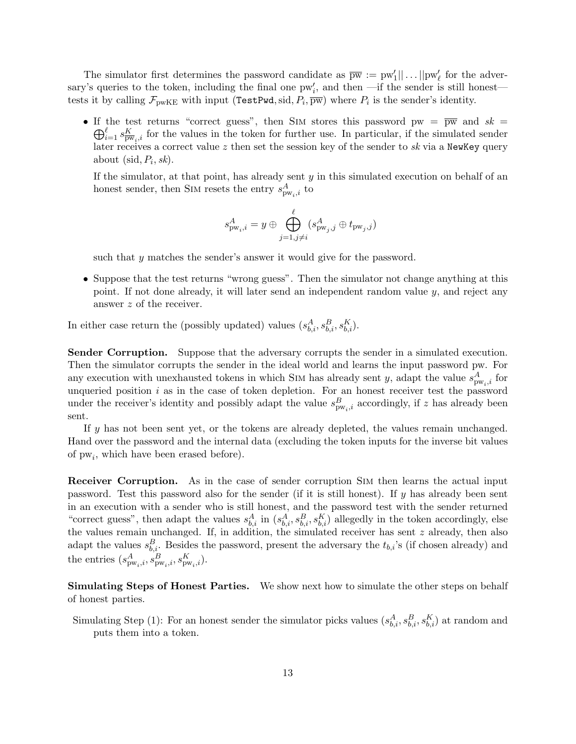The simulator first determines the password candidate as  $\overline{pw} := pw'_1 || \dots ||pw'_\ell$  for the adversary's queries to the token, including the final one  $pw'_i$ , and then —if the sender is still honest tests it by calling  $\mathcal{F}_{\text{pwKE}}$  with input (TestPwd, sid,  $P_i$ ,  $\overline{pw}$ ) where  $P_i$  is the sender's identity.

• If the test returns "correct guess", then SIM stores this password pw =  $\overline{pw}$  and  $sk =$  $\bigoplus_{i=1}^{\ell} s_{\overline{\text{pw}}_i,i}^K$  for the values in the token for further use. In particular, if the simulated sender later receives a correct value  $z$  then set the session key of the sender to  $sk$  via a NewKey query about (sid,  $P_i$ , sk).

If the simulator, at that point, has already sent  $y$  in this simulated execution on behalf of an honest sender, then SIM resets the entry  $s_{{\rm pw}_i,i}^A$  to

$$
s^{A}_{\text{pw}_i,i} = y \oplus \bigoplus_{j=1, j\neq i}^\ell (s^{A}_{\text{pw}_j,j} \oplus t_{\text{pw}_j,j})
$$

such that y matches the sender's answer it would give for the password.

• Suppose that the test returns "wrong guess". Then the simulator not change anything at this point. If not done already, it will later send an independent random value  $y$ , and reject any answer z of the receiver.

In either case return the (possibly updated) values  $(s_{b,i}^A, s_{b,i}^B, s_{b,i}^K)$ .

Sender Corruption. Suppose that the adversary corrupts the sender in a simulated execution. Then the simulator corrupts the sender in the ideal world and learns the input password pw. For any execution with unexhausted tokens in which SIM has already sent y, adapt the value  $s_{\text{pw},i}^A$  for unqueried position  $i$  as in the case of token depletion. For an honest receiver test the password under the receiver's identity and possibly adapt the value  $s_{\text{pw}_i,i}^B$  accordingly, if z has already been sent.

If y has not been sent yet, or the tokens are already depleted, the values remain unchanged. Hand over the password and the internal data (excluding the token inputs for the inverse bit values of  $pw_i$ , which have been erased before).

Receiver Corruption. As in the case of sender corruption Sim then learns the actual input password. Test this password also for the sender (if it is still honest). If  $y$  has already been sent in an execution with a sender who is still honest, and the password test with the sender returned "correct guess", then adapt the values  $s_{b,i}^A$  in  $(s_{b,i}^A, s_{b,i}^B, s_{b,i}^K)$  allegedly in the token accordingly, else the values remain unchanged. If, in addition, the simulated receiver has sent  $z$  already, then also adapt the values  $s_{b,i}^B$ . Besides the password, present the adversary the  $t_{b,i}$ 's (if chosen already) and the entries  $(s_{\text{pw}_i,i}^A, s_{\text{pw}_i,i}^B, s_{\text{pw}_i,i}^K)$ .

Simulating Steps of Honest Parties. We show next how to simulate the other steps on behalf of honest parties.

Simulating Step (1): For an honest sender the simulator picks values  $(s_{b,i}^A, s_{b,i}^B, s_{b,i}^K)$  at random and puts them into a token.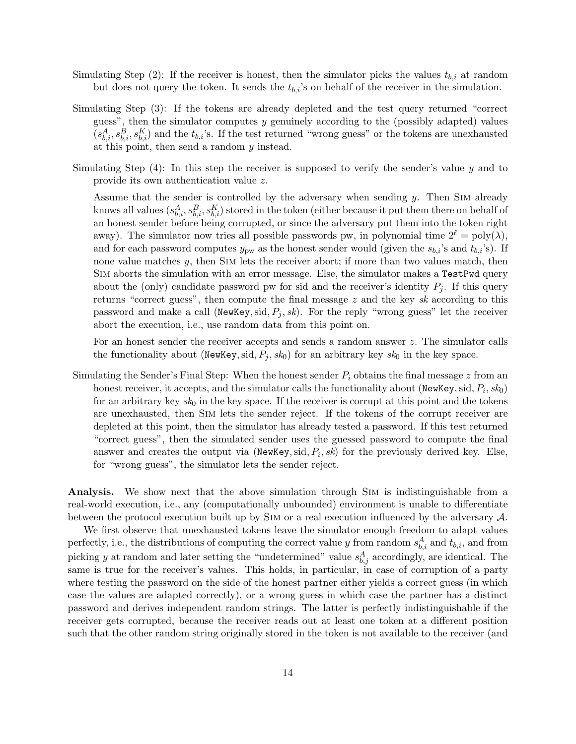- Simulating Step (2): If the receiver is honest, then the simulator picks the values  $t_{b,i}$  at random but does not query the token. It sends the  $t_{b,i}$ 's on behalf of the receiver in the simulation.
- Simulating Step (3): If the tokens are already depleted and the test query returned "correct guess", then the simulator computes y genuinely according to the (possibly adapted) values  $(s_{b,i}^A, s_{b,i}^B, s_{b,i}^K)$  and the  $t_{b,i}$ 's. If the test returned "wrong guess" or the tokens are unexhausted at this point, then send a random  $y$  instead.
- Simulating Step  $(4)$ : In this step the receiver is supposed to verify the sender's value y and to provide its own authentication value z.

Assume that the sender is controlled by the adversary when sending  $y$ . Then SIM already knows all values  $(s_{b,i}^A, s_{b,i}^B, s_{b,i}^K)$  stored in the token (either because it put them there on behalf of an honest sender before being corrupted, or since the adversary put them into the token right away). The simulator now tries all possible passwords pw, in polynomial time  $2^\ell = \text{poly}(\lambda)$ , and for each password computes  $y_{\text{pw}}$  as the honest sender would (given the  $s_{b,i}$ 's and  $t_{b,i}$ 's). If none value matches y, then Sim lets the receiver abort; if more than two values match, then Sim aborts the simulation with an error message. Else, the simulator makes a TestPwd query about the (only) candidate password pw for sid and the receiver's identity  $P_i$ . If this query returns "correct guess", then compute the final message  $z$  and the key sk according to this password and make a call (NewKey,  $\text{sid}, P_j, sk$ ). For the reply "wrong guess" let the receiver abort the execution, i.e., use random data from this point on.

For an honest sender the receiver accepts and sends a random answer z. The simulator calls the functionality about (NewKey, sid,  $P_j$ , sk<sub>0</sub>) for an arbitrary key sk<sub>0</sub> in the key space.

Simulating the Sender's Final Step: When the honest sender  $P_i$  obtains the final message z from an honest receiver, it accepts, and the simulator calls the functionality about (NewKey,  $\mathrm{sid}, P_i, sk_0)$ for an arbitrary key  $sk_0$  in the key space. If the receiver is corrupt at this point and the tokens are unexhausted, then Sim lets the sender reject. If the tokens of the corrupt receiver are depleted at this point, then the simulator has already tested a password. If this test returned "correct guess", then the simulated sender uses the guessed password to compute the final answer and creates the output via (NewKey, sid,  $P_i$ , sk) for the previously derived key. Else, for "wrong guess", the simulator lets the sender reject.

Analysis. We show next that the above simulation through Sim is indistinguishable from a real-world execution, i.e., any (computationally unbounded) environment is unable to differentiate between the protocol execution built up by Sim or a real execution influenced by the adversary A.

We first observe that unexhausted tokens leave the simulator enough freedom to adapt values perfectly, i.e., the distributions of computing the correct value y from random  $s_{b,i}^A$  and  $t_{b,i}$ , and from picking y at random and later setting the "undetermined" value  $s_{b,j}^A$  accordingly, are identical. The same is true for the receiver's values. This holds, in particular, in case of corruption of a party where testing the password on the side of the honest partner either yields a correct guess (in which case the values are adapted correctly), or a wrong guess in which case the partner has a distinct password and derives independent random strings. The latter is perfectly indistinguishable if the receiver gets corrupted, because the receiver reads out at least one token at a different position such that the other random string originally stored in the token is not available to the receiver (and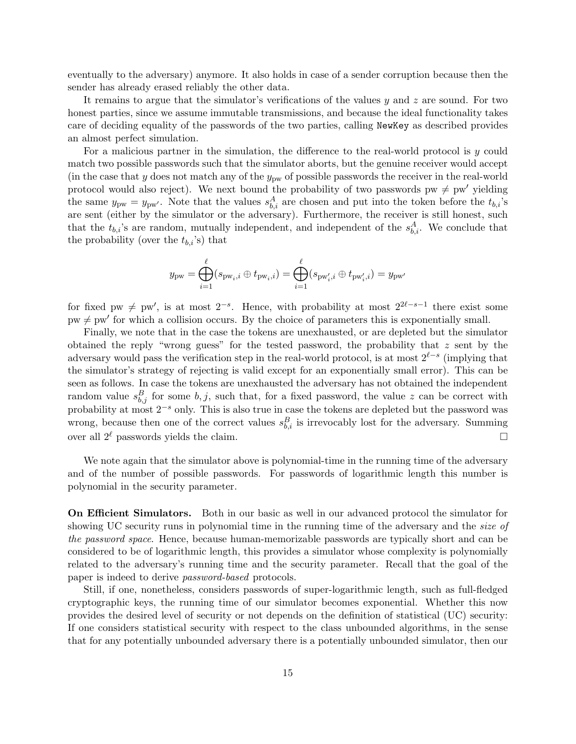eventually to the adversary) anymore. It also holds in case of a sender corruption because then the sender has already erased reliably the other data.

It remains to argue that the simulator's verifications of the values  $y$  and  $z$  are sound. For two honest parties, since we assume immutable transmissions, and because the ideal functionality takes care of deciding equality of the passwords of the two parties, calling NewKey as described provides an almost perfect simulation.

For a malicious partner in the simulation, the difference to the real-world protocol is  $y$  could match two possible passwords such that the simulator aborts, but the genuine receiver would accept (in the case that y does not match any of the  $y_{\text{pw}}$  of possible passwords the receiver in the real-world protocol would also reject). We next bound the probability of two passwords  $pw \neq pw'$  yielding the same  $y_{\text{pw}} = y_{\text{pw'}}$ . Note that the values  $s_{b,i}^A$  are chosen and put into the token before the  $t_{b,i}$ 's are sent (either by the simulator or the adversary). Furthermore, the receiver is still honest, such that the  $t_{b,i}$ 's are random, mutually independent, and independent of the  $s_{b,i}^A$ . We conclude that the probability (over the  $t_{b,i}$ 's) that

$$
y_{\mathrm{pw}}=\bigoplus_{i=1}^\ell (s_{\mathrm{pw}_i,i}\oplus t_{\mathrm{pw}_i,i})=\bigoplus_{i=1}^\ell (s_{\mathrm{pw}'_i,i}\oplus t_{\mathrm{pw}'_i,i})=y_{\mathrm{pw}'}
$$

for fixed pw  $\neq$  pw', is at most  $2^{-s}$ . Hence, with probability at most  $2^{2\ell-s-1}$  there exist some  $pw \neq pw'$  for which a collision occurs. By the choice of parameters this is exponentially small.

Finally, we note that in the case the tokens are unexhausted, or are depleted but the simulator obtained the reply "wrong guess" for the tested password, the probability that z sent by the adversary would pass the verification step in the real-world protocol, is at most  $2^{\ell-s}$  (implying that the simulator's strategy of rejecting is valid except for an exponentially small error). This can be seen as follows. In case the tokens are unexhausted the adversary has not obtained the independent random value  $s_{b,j}^B$  for some  $b, j$ , such that, for a fixed password, the value z can be correct with probability at most  $2^{-s}$  only. This is also true in case the tokens are depleted but the password was wrong, because then one of the correct values  $s_{b,i}^B$  is irrevocably lost for the adversary. Summing over all  $2^{\ell}$  passwords yields the claim.

We note again that the simulator above is polynomial-time in the running time of the adversary and of the number of possible passwords. For passwords of logarithmic length this number is polynomial in the security parameter.

On Efficient Simulators. Both in our basic as well in our advanced protocol the simulator for showing UC security runs in polynomial time in the running time of the adversary and the *size of* the password space. Hence, because human-memorizable passwords are typically short and can be considered to be of logarithmic length, this provides a simulator whose complexity is polynomially related to the adversary's running time and the security parameter. Recall that the goal of the paper is indeed to derive password-based protocols.

Still, if one, nonetheless, considers passwords of super-logarithmic length, such as full-fledged cryptographic keys, the running time of our simulator becomes exponential. Whether this now provides the desired level of security or not depends on the definition of statistical (UC) security: If one considers statistical security with respect to the class unbounded algorithms, in the sense that for any potentially unbounded adversary there is a potentially unbounded simulator, then our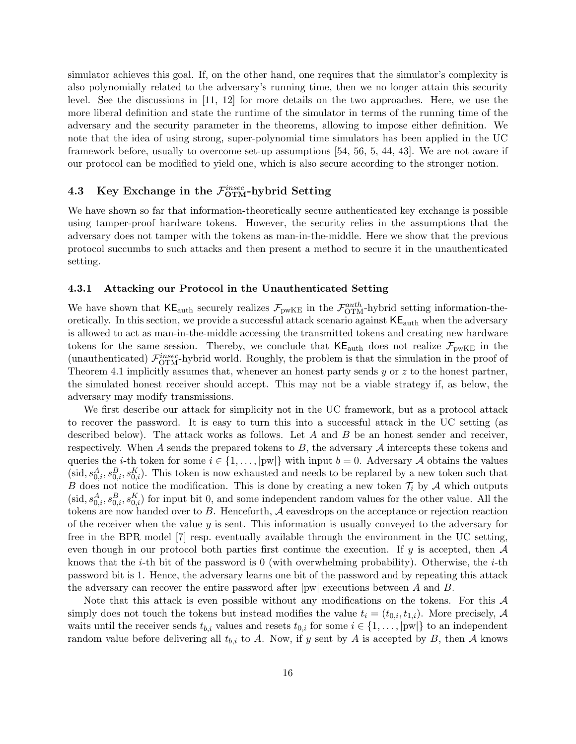simulator achieves this goal. If, on the other hand, one requires that the simulator's complexity is also polynomially related to the adversary's running time, then we no longer attain this security level. See the discussions in [11, 12] for more details on the two approaches. Here, we use the more liberal definition and state the runtime of the simulator in terms of the running time of the adversary and the security parameter in the theorems, allowing to impose either definition. We note that the idea of using strong, super-polynomial time simulators has been applied in the UC framework before, usually to overcome set-up assumptions [54, 56, 5, 44, 43]. We are not aware if our protocol can be modified to yield one, which is also secure according to the stronger notion.

# 4.3 Key Exchange in the  $\mathcal{F}_{\text{OTM}}^{insec}$ -hybrid Setting

We have shown so far that information-theoretically secure authenticated key exchange is possible using tamper-proof hardware tokens. However, the security relies in the assumptions that the adversary does not tamper with the tokens as man-in-the-middle. Here we show that the previous protocol succumbs to such attacks and then present a method to secure it in the unauthenticated setting.

#### 4.3.1 Attacking our Protocol in the Unauthenticated Setting

We have shown that  $\mathsf{KE}_{\text{auth}}$  securely realizes  $\mathcal{F}_{\text{pwKE}}$  in the  $\mathcal{F}_{\text{OTM}}^{\text{auth}}$ -hybrid setting information-theoretically. In this section, we provide a successful attack scenario against  $KE<sub>auth</sub>$  when the adversary is allowed to act as man-in-the-middle accessing the transmitted tokens and creating new hardware tokens for the same session. Thereby, we conclude that  $\mathsf{KE}_{\text{auth}}$  does not realize  $\mathcal{F}_{\text{pwkE}}$  in the (unauthenticated)  $\mathcal{F}_{\text{OTM}}^{insec}$ -hybrid world. Roughly, the problem is that the simulation in the proof of Theorem 4.1 implicitly assumes that, whenever an honest party sends  $y$  or  $z$  to the honest partner, the simulated honest receiver should accept. This may not be a viable strategy if, as below, the adversary may modify transmissions.

We first describe our attack for simplicity not in the UC framework, but as a protocol attack to recover the password. It is easy to turn this into a successful attack in the UC setting (as described below). The attack works as follows. Let  $A$  and  $B$  be an honest sender and receiver, respectively. When A sends the prepared tokens to  $B$ , the adversary  $A$  intercepts these tokens and queries the *i*-th token for some  $i \in \{1, ..., |pw|\}$  with input  $b = 0$ . Adversary A obtains the values (sid,  $s_{0,i}^A$ ,  $s_{0,i}^B$ ,  $s_{0,i}^K$ ). This token is now exhausted and needs to be replaced by a new token such that B does not notice the modification. This is done by creating a new token  $\mathcal{T}_i$  by A which outputs  $(\text{sid}, s_{0,i}^A, s_{0,i}^B, s_{0,i}^K)$  for input bit 0, and some independent random values for the other value. All the tokens are now handed over to  $B$ . Henceforth,  $A$  eavesdrops on the acceptance or rejection reaction of the receiver when the value  $y$  is sent. This information is usually conveyed to the adversary for free in the BPR model [7] resp. eventually available through the environment in the UC setting, even though in our protocol both parties first continue the execution. If y is accepted, then  $\mathcal A$ knows that the *i*-th bit of the password is 0 (with overwhelming probability). Otherwise, the *i*-th password bit is 1. Hence, the adversary learns one bit of the password and by repeating this attack the adversary can recover the entire password after  $|pw|$  executions between A and B.

Note that this attack is even possible without any modifications on the tokens. For this  $\mathcal A$ simply does not touch the tokens but instead modifies the value  $t_i = (t_{0,i}, t_{1,i})$ . More precisely, A waits until the receiver sends  $t_{b,i}$  values and resets  $t_{0,i}$  for some  $i \in \{1, \ldots, |pw|\}$  to an independent random value before delivering all  $t_{b,i}$  to A. Now, if y sent by A is accepted by B, then A knows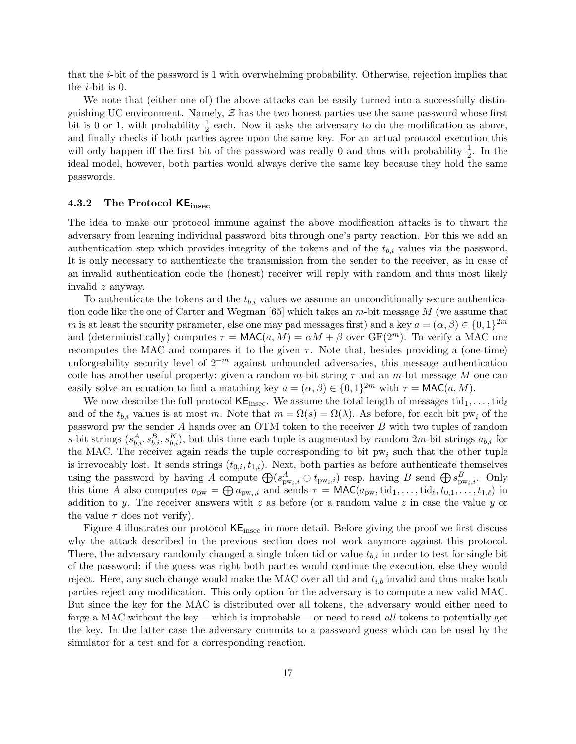that the i-bit of the password is 1 with overwhelming probability. Otherwise, rejection implies that the  $i$ -bit is 0.

We note that (either one of) the above attacks can be easily turned into a successfully distinguishing UC environment. Namely,  $\mathcal Z$  has the two honest parties use the same password whose first bit is 0 or 1, with probability  $\frac{1}{2}$  each. Now it asks the adversary to do the modification as above, and finally checks if both parties agree upon the same key. For an actual protocol execution this will only happen iff the first bit of the password was really 0 and thus with probability  $\frac{1}{2}$ . In the ideal model, however, both parties would always derive the same key because they hold the same passwords.

#### 4.3.2 The Protocol  $KE_{\text{insec}}$

The idea to make our protocol immune against the above modification attacks is to thwart the adversary from learning individual password bits through one's party reaction. For this we add an authentication step which provides integrity of the tokens and of the  $t_{b,i}$  values via the password. It is only necessary to authenticate the transmission from the sender to the receiver, as in case of an invalid authentication code the (honest) receiver will reply with random and thus most likely invalid z anyway.

To authenticate the tokens and the  $t_{b,i}$  values we assume an unconditionally secure authentication code like the one of Carter and Wegman [65] which takes an m-bit message M (we assume that m is at least the security parameter, else one may pad messages first) and a key  $a = (\alpha, \beta) \in \{0, 1\}^{2m}$ and (deterministically) computes  $\tau = \text{MAC}(a, M) = \alpha M + \beta$  over  $\text{GF}(2^m)$ . To verify a MAC one recomputes the MAC and compares it to the given  $\tau$ . Note that, besides providing a (one-time) unforgeability security level of  $2^{-m}$  against unbounded adversaries, this message authentication code has another useful property: given a random m-bit string  $\tau$  and an m-bit message M one can easily solve an equation to find a matching key  $a = (\alpha, \beta) \in \{0, 1\}^{2m}$  with  $\tau = \text{MAC}(a, M)$ .

We now describe the full protocol  $\mathsf{KE}_{\text{insec}}$ . We assume the total length of messages  $\text{tid}_1, \ldots, \text{tid}_\ell$ and of the  $t_{b,i}$  values is at most m. Note that  $m = \Omega(s) = \Omega(\lambda)$ . As before, for each bit pw<sub>i</sub> of the password pw the sender A hands over an OTM token to the receiver B with two tuples of random s-bit strings  $(s_{b,i}^A, s_{b,i}^B, s_{b,i}^K)$ , but this time each tuple is augmented by random  $2m$ -bit strings  $a_{b,i}$  for the MAC. The receiver again reads the tuple corresponding to bit  $pw_i$  such that the other tuple is irrevocably lost. It sends strings  $(t_{0,i}, t_{1,i})$ . Next, both parties as before authenticate themselves using the password by having A compute  $\bigoplus (s_{\text{pw}_i,i}^A \oplus t_{\text{pw}_i,i})$  resp. having B send  $\bigoplus s_{\text{pw}_i,i}^B$ . Only this time A also computes  $a_{\text{pw}} = \bigoplus a_{\text{pw}_i,i}$  and sends  $\tau = \text{MAC}(a_{\text{pw}}, \text{tid}_1, \dots, \text{tid}_\ell, t_{0,1}, \dots, t_{1,\ell})$  in addition to y. The receiver answers with z as before (or a random value z in case the value y or the value  $\tau$  does not verify).

Figure 4 illustrates our protocol  $KE_{\text{insec}}$  in more detail. Before giving the proof we first discuss why the attack described in the previous section does not work anymore against this protocol. There, the adversary randomly changed a single token tid or value  $t_{b,i}$  in order to test for single bit of the password: if the guess was right both parties would continue the execution, else they would reject. Here, any such change would make the MAC over all tid and  $t_{i,b}$  invalid and thus make both parties reject any modification. This only option for the adversary is to compute a new valid MAC. But since the key for the MAC is distributed over all tokens, the adversary would either need to forge a MAC without the key —which is improbable— or need to read all tokens to potentially get the key. In the latter case the adversary commits to a password guess which can be used by the simulator for a test and for a corresponding reaction.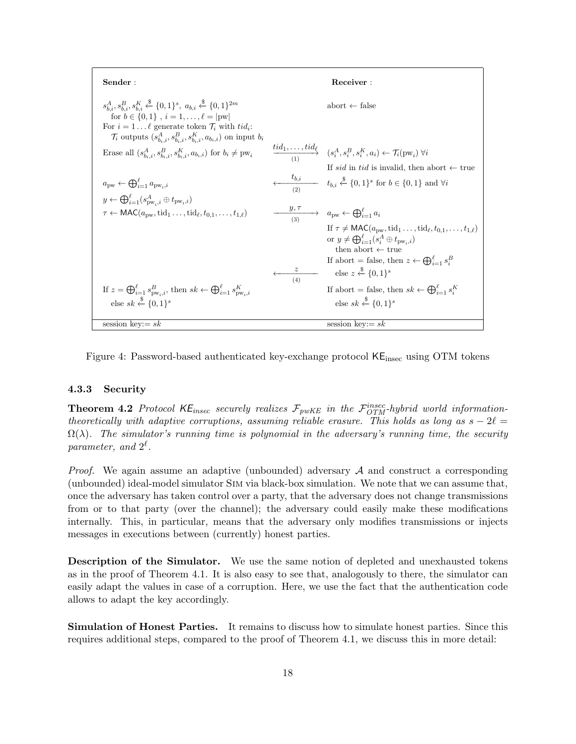| Sender:                                                                                                                                                                                                                                                                                                                                       |     | Receiver:                                                                                                                                                                                                                                                                                                                            |
|-----------------------------------------------------------------------------------------------------------------------------------------------------------------------------------------------------------------------------------------------------------------------------------------------------------------------------------------------|-----|--------------------------------------------------------------------------------------------------------------------------------------------------------------------------------------------------------------------------------------------------------------------------------------------------------------------------------------|
| $s_{b,i}^A, s_{b,i}^B, s_{b,i}^K \stackrel{\$}{\leftarrow} \{0,1\}^s, a_{b,i} \stackrel{\$}{\leftarrow} \{0,1\}^{2m}$<br>for $b \in \{0, 1\}$ , $i = 1, , \ell =  pw $<br>For $i = 1 \dots \ell$ generate token $\mathcal{T}_i$ with $tid_i$ :<br>$\mathcal{T}_i$ outputs $(s_{b_i,i}^A, s_{b_i,i}^B, s_{b_i,i}^K, a_{b_i,i})$ on input $b_i$ |     | abort $\leftarrow$ false                                                                                                                                                                                                                                                                                                             |
| Erase all $(s_{b_i,i}^A, s_{b_i,i}^B, s_{b_i,i}^K, a_{b_i,i})$ for $b_i \neq \text{pw}_i$                                                                                                                                                                                                                                                     |     | $\overrightarrow{tid_1,\ldots,tid_\ell}$ $(s_i^A,s_i^B,s_i^K,a_i) \leftarrow \mathcal{T}_i(\text{pw}_i) \,\forall i$<br>If sid in tid is invalid, then abort $\leftarrow$ true                                                                                                                                                       |
| $a_{\text{DW}} \leftarrow \bigoplus_{i=1}^{\ell} a_{\text{DW}_i, i}$<br>$y \leftarrow \bigoplus_{i=1}^{\ell} (s_{\text{pw},i}^A \oplus t_{\text{pw},i})$                                                                                                                                                                                      |     | $\frac{t_{b,i}}{(2)}$ $t_{b,i} \stackrel{\$}{\leftarrow} \{0,1\}^s$ for $b \in \{0,1\}$ and $\forall i$                                                                                                                                                                                                                              |
| $\tau \leftarrow \text{MAC}(a_{\text{DW}}, \text{tid}_1 \dots, \text{tid}_{\ell}, t_{0,1}, \dots, t_{1,\ell})$                                                                                                                                                                                                                                |     | $\overrightarrow{y,\gamma}$ $a_{\text{pw}} \leftarrow \bigoplus_{i=1}^{\ell} a_i$                                                                                                                                                                                                                                                    |
|                                                                                                                                                                                                                                                                                                                                               |     | If $\tau \neq \text{MAC}(a_{\text{DW}}, \text{tid}_1 \dots, \text{tid}_\ell, t_{0,1}, \dots, t_{1,\ell})$<br>or $y \neq \bigoplus_{i=1}^{\ell} (s_i^A \oplus t_{\text{pw},i})$<br>then abort $\leftarrow$ true<br>If abort = false, then $z \leftarrow \bigoplus_{i=1}^{\ell} s_i^B$<br>else $z \stackrel{\$}{\leftarrow} \{0,1\}^s$ |
| If $z = \bigoplus_{i=1}^{\ell} s_{\text{pw}_i,i}^B$ , then $sk \leftarrow \bigoplus_{i=1}^{\ell} s_{\text{pw}_i,i}^K$<br>else sk $\xi$ {0,1} <sup>s</sup>                                                                                                                                                                                     | (4) | If abort = false, then $sk \leftarrow \bigoplus_{i=1}^{\ell} s_i^{K}$<br>else sk $\overset{\$}{\leftarrow} \{0,1\}^s$                                                                                                                                                                                                                |
| session key: $=$ $sk$                                                                                                                                                                                                                                                                                                                         |     | session key: $= sk$                                                                                                                                                                                                                                                                                                                  |

Figure 4: Password-based authenticated key-exchange protocol  $KE_{\text{insec}}$  using OTM tokens

#### 4.3.3 Security

**Theorem 4.2** Protocol  $KE_{insec}$  securely realizes  $\mathcal{F}_{pwKE}$  in the  $\mathcal{F}_{OTM}^{insec}$ -hybrid world informationtheoretically with adaptive corruptions, assuming reliable erasure. This holds as long as  $s - 2\ell =$  $\Omega(\lambda)$ . The simulator's running time is polynomial in the adversary's running time, the security parameter, and  $2^{\ell}$ .

*Proof.* We again assume an adaptive (unbounded) adversary  $A$  and construct a corresponding (unbounded) ideal-model simulator Sim via black-box simulation. We note that we can assume that, once the adversary has taken control over a party, that the adversary does not change transmissions from or to that party (over the channel); the adversary could easily make these modifications internally. This, in particular, means that the adversary only modifies transmissions or injects messages in executions between (currently) honest parties.

Description of the Simulator. We use the same notion of depleted and unexhausted tokens as in the proof of Theorem 4.1. It is also easy to see that, analogously to there, the simulator can easily adapt the values in case of a corruption. Here, we use the fact that the authentication code allows to adapt the key accordingly.

Simulation of Honest Parties. It remains to discuss how to simulate honest parties. Since this requires additional steps, compared to the proof of Theorem 4.1, we discuss this in more detail: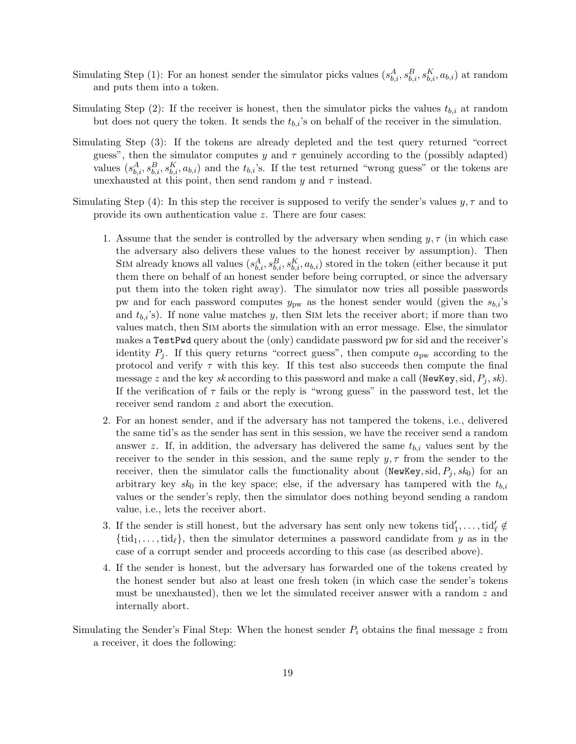- Simulating Step (1): For an honest sender the simulator picks values  $(s_{b,i}^A, s_{b,i}^B, s_{b,i}^K, a_{b,i})$  at random and puts them into a token.
- Simulating Step (2): If the receiver is honest, then the simulator picks the values  $t_{b,i}$  at random but does not query the token. It sends the  $t_{b,i}$ 's on behalf of the receiver in the simulation.
- Simulating Step (3): If the tokens are already depleted and the test query returned "correct guess", then the simulator computes y and  $\tau$  genuinely according to the (possibly adapted) values  $(s_{b,i}^A, s_{b,i}^B, s_{b,i}^K, a_{b,i})$  and the  $t_{b,i}$ 's. If the test returned "wrong guess" or the tokens are unexhausted at this point, then send random y and  $\tau$  instead.
- Simulating Step (4): In this step the receiver is supposed to verify the sender's values  $y, \tau$  and to provide its own authentication value z. There are four cases:
	- 1. Assume that the sender is controlled by the adversary when sending  $y, \tau$  (in which case the adversary also delivers these values to the honest receiver by assumption). Then SIM already knows all values  $(s_{b,i}^A, s_{b,i}^B, s_{b,i}^K, a_{b,i})$  stored in the token (either because it put them there on behalf of an honest sender before being corrupted, or since the adversary put them into the token right away). The simulator now tries all possible passwords pw and for each password computes  $y_{\text{pw}}$  as the honest sender would (given the  $s_{b,i}$ 's and  $t_{b,i}$ 's). If none value matches y, then SIM lets the receiver abort; if more than two values match, then Sim aborts the simulation with an error message. Else, the simulator makes a TestPwd query about the (only) candidate password pw for sid and the receiver's identity  $P_j$ . If this query returns "correct guess", then compute  $a_{\text{pw}}$  according to the protocol and verify  $\tau$  with this key. If this test also succeeds then compute the final message z and the key sk according to this password and make a call (NewKey, sid,  $P_i$ , sk). If the verification of  $\tau$  fails or the reply is "wrong guess" in the password test, let the receiver send random z and abort the execution.
	- 2. For an honest sender, and if the adversary has not tampered the tokens, i.e., delivered the same tid's as the sender has sent in this session, we have the receiver send a random answer z. If, in addition, the adversary has delivered the same  $t_{b,i}$  values sent by the receiver to the sender in this session, and the same reply  $y, \tau$  from the sender to the receiver, then the simulator calls the functionality about (NewKey, sid,  $P_j$ , sk<sub>0</sub>) for an arbitrary key sk<sub>0</sub> in the key space; else, if the adversary has tampered with the  $t_{b,i}$ values or the sender's reply, then the simulator does nothing beyond sending a random value, i.e., lets the receiver abort.
	- 3. If the sender is still honest, but the adversary has sent only new tokens  $\text{tid}'_1, \ldots, \text{tid}'_\ell \notin$  $\{\text{tid}_1, \ldots, \text{tid}_{\ell}\}\,$ , then the simulator determines a password candidate from y as in the case of a corrupt sender and proceeds according to this case (as described above).
	- 4. If the sender is honest, but the adversary has forwarded one of the tokens created by the honest sender but also at least one fresh token (in which case the sender's tokens must be unexhausted), then we let the simulated receiver answer with a random z and internally abort.
- Simulating the Sender's Final Step: When the honest sender  $P_i$  obtains the final message  $z$  from a receiver, it does the following: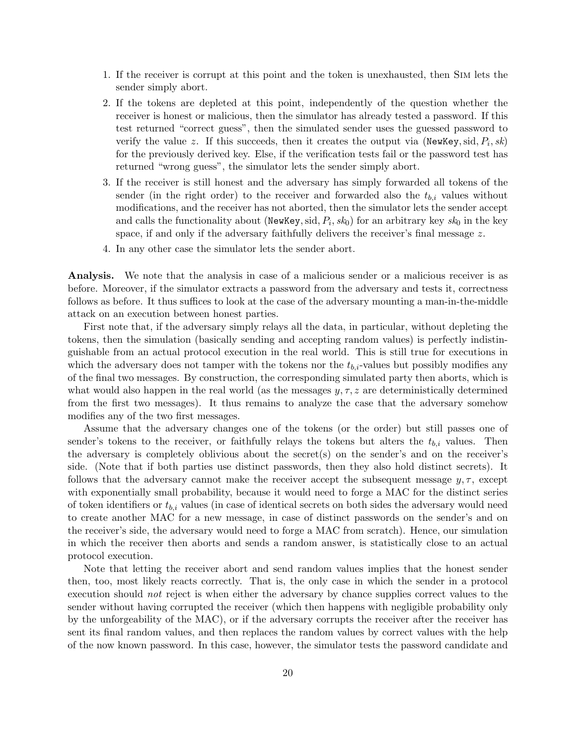- 1. If the receiver is corrupt at this point and the token is unexhausted, then Sim lets the sender simply abort.
- 2. If the tokens are depleted at this point, independently of the question whether the receiver is honest or malicious, then the simulator has already tested a password. If this test returned "correct guess", then the simulated sender uses the guessed password to verify the value z. If this succeeds, then it creates the output via (NewKey, sid,  $P_i$ , sk) for the previously derived key. Else, if the verification tests fail or the password test has returned "wrong guess", the simulator lets the sender simply abort.
- 3. If the receiver is still honest and the adversary has simply forwarded all tokens of the sender (in the right order) to the receiver and forwarded also the  $t_{b,i}$  values without modifications, and the receiver has not aborted, then the simulator lets the sender accept and calls the functionality about (NewKey, sid,  $P_i$ , sk<sub>0</sub>) for an arbitrary key sk<sub>0</sub> in the key space, if and only if the adversary faithfully delivers the receiver's final message  $z$ .
- 4. In any other case the simulator lets the sender abort.

Analysis. We note that the analysis in case of a malicious sender or a malicious receiver is as before. Moreover, if the simulator extracts a password from the adversary and tests it, correctness follows as before. It thus suffices to look at the case of the adversary mounting a man-in-the-middle attack on an execution between honest parties.

First note that, if the adversary simply relays all the data, in particular, without depleting the tokens, then the simulation (basically sending and accepting random values) is perfectly indistinguishable from an actual protocol execution in the real world. This is still true for executions in which the adversary does not tamper with the tokens nor the  $t_{b,i}$ -values but possibly modifies any of the final two messages. By construction, the corresponding simulated party then aborts, which is what would also happen in the real world (as the messages  $y, \tau, z$  are deterministically determined from the first two messages). It thus remains to analyze the case that the adversary somehow modifies any of the two first messages.

Assume that the adversary changes one of the tokens (or the order) but still passes one of sender's tokens to the receiver, or faithfully relays the tokens but alters the  $t_{b,i}$  values. Then the adversary is completely oblivious about the secret(s) on the sender's and on the receiver's side. (Note that if both parties use distinct passwords, then they also hold distinct secrets). It follows that the adversary cannot make the receiver accept the subsequent message  $y, \tau$ , except with exponentially small probability, because it would need to forge a MAC for the distinct series of token identifiers or  $t_{b,i}$  values (in case of identical secrets on both sides the adversary would need to create another MAC for a new message, in case of distinct passwords on the sender's and on the receiver's side, the adversary would need to forge a MAC from scratch). Hence, our simulation in which the receiver then aborts and sends a random answer, is statistically close to an actual protocol execution.

Note that letting the receiver abort and send random values implies that the honest sender then, too, most likely reacts correctly. That is, the only case in which the sender in a protocol execution should not reject is when either the adversary by chance supplies correct values to the sender without having corrupted the receiver (which then happens with negligible probability only by the unforgeability of the MAC), or if the adversary corrupts the receiver after the receiver has sent its final random values, and then replaces the random values by correct values with the help of the now known password. In this case, however, the simulator tests the password candidate and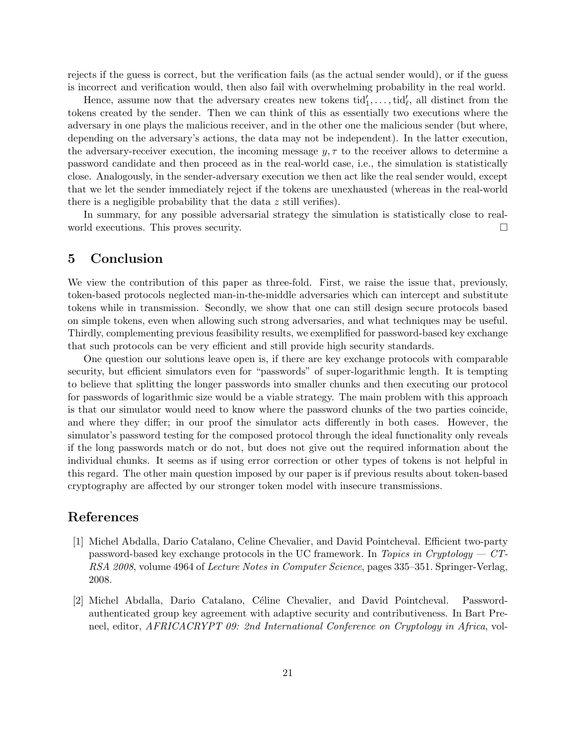rejects if the guess is correct, but the verification fails (as the actual sender would), or if the guess is incorrect and verification would, then also fail with overwhelming probability in the real world.

Hence, assume now that the adversary creates new tokens  $\text{tid}'_1, \ldots, \text{tid}'_\ell$ , all distinct from the tokens created by the sender. Then we can think of this as essentially two executions where the adversary in one plays the malicious receiver, and in the other one the malicious sender (but where, depending on the adversary's actions, the data may not be independent). In the latter execution, the adversary-receiver execution, the incoming message  $y, \tau$  to the receiver allows to determine a password candidate and then proceed as in the real-world case, i.e., the simulation is statistically close. Analogously, in the sender-adversary execution we then act like the real sender would, except that we let the sender immediately reject if the tokens are unexhausted (whereas in the real-world there is a negligible probability that the data z still verifies).

In summary, for any possible adversarial strategy the simulation is statistically close to realworld executions. This proves security.

### 5 Conclusion

We view the contribution of this paper as three-fold. First, we raise the issue that, previously, token-based protocols neglected man-in-the-middle adversaries which can intercept and substitute tokens while in transmission. Secondly, we show that one can still design secure protocols based on simple tokens, even when allowing such strong adversaries, and what techniques may be useful. Thirdly, complementing previous feasibility results, we exemplified for password-based key exchange that such protocols can be very efficient and still provide high security standards.

One question our solutions leave open is, if there are key exchange protocols with comparable security, but efficient simulators even for "passwords" of super-logarithmic length. It is tempting to believe that splitting the longer passwords into smaller chunks and then executing our protocol for passwords of logarithmic size would be a viable strategy. The main problem with this approach is that our simulator would need to know where the password chunks of the two parties coincide, and where they differ; in our proof the simulator acts differently in both cases. However, the simulator's password testing for the composed protocol through the ideal functionality only reveals if the long passwords match or do not, but does not give out the required information about the individual chunks. It seems as if using error correction or other types of tokens is not helpful in this regard. The other main question imposed by our paper is if previous results about token-based cryptography are affected by our stronger token model with insecure transmissions.

### References

- [1] Michel Abdalla, Dario Catalano, Celine Chevalier, and David Pointcheval. Efficient two-party password-based key exchange protocols in the UC framework. In Topics in Cryptology  $-CT$ RSA 2008, volume 4964 of Lecture Notes in Computer Science, pages 335–351. Springer-Verlag, 2008.
- [2] Michel Abdalla, Dario Catalano, Céline Chevalier, and David Pointcheval. Passwordauthenticated group key agreement with adaptive security and contributiveness. In Bart Preneel, editor, AFRICACRYPT 09: 2nd International Conference on Cryptology in Africa, vol-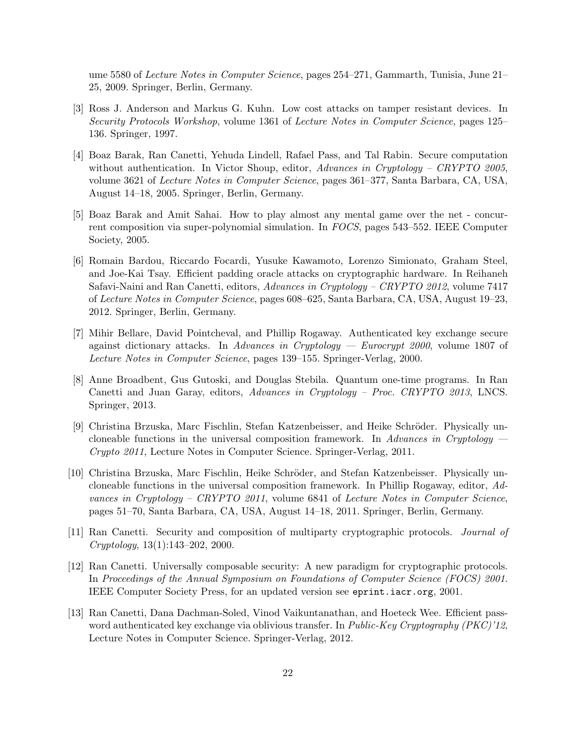ume 5580 of Lecture Notes in Computer Science, pages 254–271, Gammarth, Tunisia, June 21– 25, 2009. Springer, Berlin, Germany.

- [3] Ross J. Anderson and Markus G. Kuhn. Low cost attacks on tamper resistant devices. In Security Protocols Workshop, volume 1361 of Lecture Notes in Computer Science, pages 125– 136. Springer, 1997.
- [4] Boaz Barak, Ran Canetti, Yehuda Lindell, Rafael Pass, and Tal Rabin. Secure computation without authentication. In Victor Shoup, editor, Advances in Cryptology – CRYPTO 2005, volume 3621 of Lecture Notes in Computer Science, pages 361–377, Santa Barbara, CA, USA, August 14–18, 2005. Springer, Berlin, Germany.
- [5] Boaz Barak and Amit Sahai. How to play almost any mental game over the net concurrent composition via super-polynomial simulation. In FOCS, pages 543–552. IEEE Computer Society, 2005.
- [6] Romain Bardou, Riccardo Focardi, Yusuke Kawamoto, Lorenzo Simionato, Graham Steel, and Joe-Kai Tsay. Efficient padding oracle attacks on cryptographic hardware. In Reihaneh Safavi-Naini and Ran Canetti, editors, Advances in Cryptology – CRYPTO 2012, volume 7417 of Lecture Notes in Computer Science, pages 608–625, Santa Barbara, CA, USA, August 19–23, 2012. Springer, Berlin, Germany.
- [7] Mihir Bellare, David Pointcheval, and Phillip Rogaway. Authenticated key exchange secure against dictionary attacks. In Advances in Cryptology — Eurocrypt  $2000$ , volume 1807 of Lecture Notes in Computer Science, pages 139–155. Springer-Verlag, 2000.
- [8] Anne Broadbent, Gus Gutoski, and Douglas Stebila. Quantum one-time programs. In Ran Canetti and Juan Garay, editors, Advances in Cryptology – Proc. CRYPTO 2013, LNCS. Springer, 2013.
- [9] Christina Brzuska, Marc Fischlin, Stefan Katzenbeisser, and Heike Schröder. Physically uncloneable functions in the universal composition framework. In Advances in Cryptology  $-$ Crypto 2011, Lecture Notes in Computer Science. Springer-Verlag, 2011.
- [10] Christina Brzuska, Marc Fischlin, Heike Schröder, and Stefan Katzenbeisser. Physically uncloneable functions in the universal composition framework. In Phillip Rogaway, editor, Advances in Cryptology – CRYPTO 2011, volume 6841 of Lecture Notes in Computer Science, pages 51–70, Santa Barbara, CA, USA, August 14–18, 2011. Springer, Berlin, Germany.
- [11] Ran Canetti. Security and composition of multiparty cryptographic protocols. Journal of Cryptology, 13(1):143–202, 2000.
- [12] Ran Canetti. Universally composable security: A new paradigm for cryptographic protocols. In Proceedings of the Annual Symposium on Foundations of Computer Science (FOCS) 2001. IEEE Computer Society Press, for an updated version see eprint.iacr.org, 2001.
- [13] Ran Canetti, Dana Dachman-Soled, Vinod Vaikuntanathan, and Hoeteck Wee. Efficient password authenticated key exchange via oblivious transfer. In *Public-Key Cryptography (PKC)'12*, Lecture Notes in Computer Science. Springer-Verlag, 2012.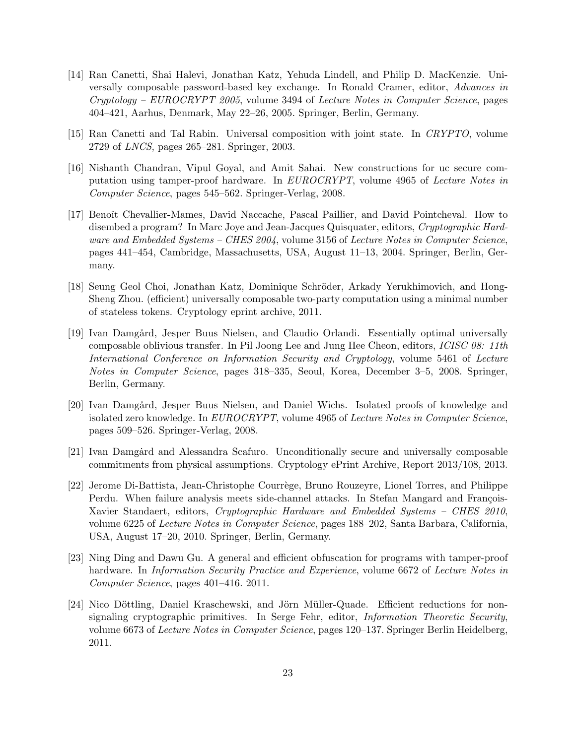- [14] Ran Canetti, Shai Halevi, Jonathan Katz, Yehuda Lindell, and Philip D. MacKenzie. Universally composable password-based key exchange. In Ronald Cramer, editor, Advances in  $Cryptology - EUROCRYPT 2005$ , volume 3494 of Lecture Notes in Computer Science, pages 404–421, Aarhus, Denmark, May 22–26, 2005. Springer, Berlin, Germany.
- [15] Ran Canetti and Tal Rabin. Universal composition with joint state. In CRYPTO, volume 2729 of LNCS, pages 265–281. Springer, 2003.
- [16] Nishanth Chandran, Vipul Goyal, and Amit Sahai. New constructions for uc secure computation using tamper-proof hardware. In EUROCRYPT, volume 4965 of Lecture Notes in Computer Science, pages 545–562. Springer-Verlag, 2008.
- [17] Benoît Chevallier-Mames, David Naccache, Pascal Paillier, and David Pointcheval. How to disembed a program? In Marc Joye and Jean-Jacques Quisquater, editors, Cryptographic Hardware and Embedded Systems – CHES 2004, volume 3156 of Lecture Notes in Computer Science, pages 441–454, Cambridge, Massachusetts, USA, August 11–13, 2004. Springer, Berlin, Germany.
- [18] Seung Geol Choi, Jonathan Katz, Dominique Schröder, Arkady Yerukhimovich, and Hong-Sheng Zhou. (efficient) universally composable two-party computation using a minimal number of stateless tokens. Cryptology eprint archive, 2011.
- [19] Ivan Damg˚ard, Jesper Buus Nielsen, and Claudio Orlandi. Essentially optimal universally composable oblivious transfer. In Pil Joong Lee and Jung Hee Cheon, editors, ICISC 08: 11th International Conference on Information Security and Cryptology, volume 5461 of Lecture Notes in Computer Science, pages 318–335, Seoul, Korea, December 3–5, 2008. Springer, Berlin, Germany.
- [20] Ivan Damgård, Jesper Buus Nielsen, and Daniel Wichs. Isolated proofs of knowledge and isolated zero knowledge. In EUROCRYPT, volume 4965 of Lecture Notes in Computer Science, pages 509–526. Springer-Verlag, 2008.
- [21] Ivan Damgård and Alessandra Scafuro. Unconditionally secure and universally composable commitments from physical assumptions. Cryptology ePrint Archive, Report 2013/108, 2013.
- [22] Jerome Di-Battista, Jean-Christophe Courrège, Bruno Rouzeyre, Lionel Torres, and Philippe Perdu. When failure analysis meets side-channel attacks. In Stefan Mangard and François-Xavier Standaert, editors, Cryptographic Hardware and Embedded Systems – CHES 2010, volume 6225 of Lecture Notes in Computer Science, pages 188–202, Santa Barbara, California, USA, August 17–20, 2010. Springer, Berlin, Germany.
- [23] Ning Ding and Dawu Gu. A general and efficient obfuscation for programs with tamper-proof hardware. In Information Security Practice and Experience, volume 6672 of Lecture Notes in Computer Science, pages 401–416. 2011.
- [24] Nico Döttling, Daniel Kraschewski, and Jörn Müller-Quade. Efficient reductions for nonsignaling cryptographic primitives. In Serge Fehr, editor, Information Theoretic Security, volume 6673 of Lecture Notes in Computer Science, pages 120–137. Springer Berlin Heidelberg, 2011.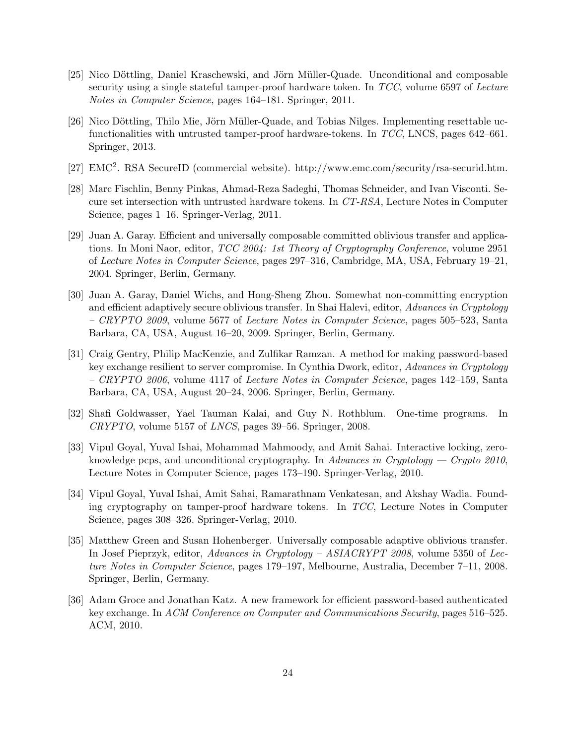- [25] Nico Döttling, Daniel Kraschewski, and Jörn Müller-Quade. Unconditional and composable security using a single stateful tamper-proof hardware token. In TCC, volume 6597 of Lecture Notes in Computer Science, pages 164–181. Springer, 2011.
- [26] Nico Döttling, Thilo Mie, Jörn Müller-Quade, and Tobias Nilges. Implementing resettable ucfunctionalities with untrusted tamper-proof hardware-tokens. In TCC, LNCS, pages 642–661. Springer, 2013.
- [27] EMC<sup>2</sup>. RSA SecureID (commercial website). http://www.emc.com/security/rsa-securid.htm.
- [28] Marc Fischlin, Benny Pinkas, Ahmad-Reza Sadeghi, Thomas Schneider, and Ivan Visconti. Secure set intersection with untrusted hardware tokens. In CT-RSA, Lecture Notes in Computer Science, pages 1–16. Springer-Verlag, 2011.
- [29] Juan A. Garay. Efficient and universally composable committed oblivious transfer and applications. In Moni Naor, editor, TCC 2004: 1st Theory of Cryptography Conference, volume 2951 of Lecture Notes in Computer Science, pages 297–316, Cambridge, MA, USA, February 19–21, 2004. Springer, Berlin, Germany.
- [30] Juan A. Garay, Daniel Wichs, and Hong-Sheng Zhou. Somewhat non-committing encryption and efficient adaptively secure oblivious transfer. In Shai Halevi, editor, Advances in Cryptology – CRYPTO 2009, volume 5677 of Lecture Notes in Computer Science, pages 505–523, Santa Barbara, CA, USA, August 16–20, 2009. Springer, Berlin, Germany.
- [31] Craig Gentry, Philip MacKenzie, and Zulfikar Ramzan. A method for making password-based key exchange resilient to server compromise. In Cynthia Dwork, editor, Advances in Cryptology – CRYPTO 2006, volume 4117 of Lecture Notes in Computer Science, pages 142–159, Santa Barbara, CA, USA, August 20–24, 2006. Springer, Berlin, Germany.
- [32] Shafi Goldwasser, Yael Tauman Kalai, and Guy N. Rothblum. One-time programs. In CRYPTO, volume 5157 of LNCS, pages 39–56. Springer, 2008.
- [33] Vipul Goyal, Yuval Ishai, Mohammad Mahmoody, and Amit Sahai. Interactive locking, zeroknowledge pcps, and unconditional cryptography. In Advances in Cryptology — Crypto 2010, Lecture Notes in Computer Science, pages 173–190. Springer-Verlag, 2010.
- [34] Vipul Goyal, Yuval Ishai, Amit Sahai, Ramarathnam Venkatesan, and Akshay Wadia. Founding cryptography on tamper-proof hardware tokens. In TCC, Lecture Notes in Computer Science, pages 308–326. Springer-Verlag, 2010.
- [35] Matthew Green and Susan Hohenberger. Universally composable adaptive oblivious transfer. In Josef Pieprzyk, editor, Advances in Cryptology – ASIACRYPT 2008, volume 5350 of Lecture Notes in Computer Science, pages 179–197, Melbourne, Australia, December 7–11, 2008. Springer, Berlin, Germany.
- [36] Adam Groce and Jonathan Katz. A new framework for efficient password-based authenticated key exchange. In ACM Conference on Computer and Communications Security, pages 516–525. ACM, 2010.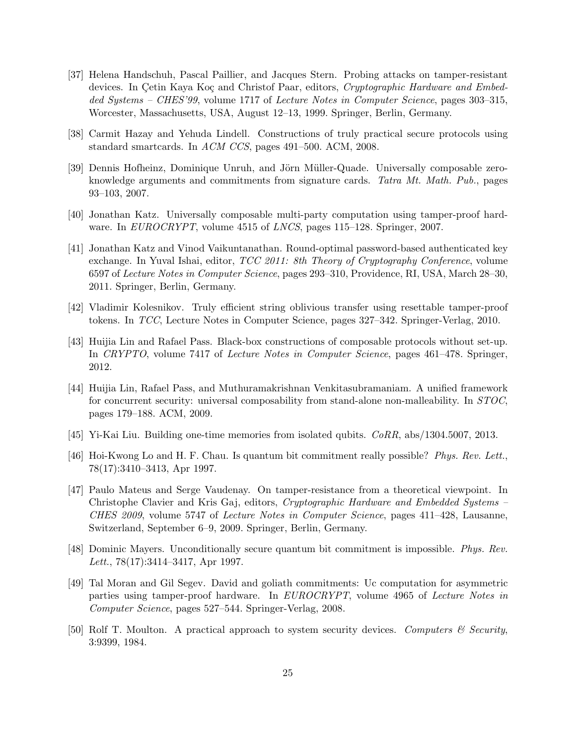- [37] Helena Handschuh, Pascal Paillier, and Jacques Stern. Probing attacks on tamper-resistant devices. In Çetin Kaya Koç and Christof Paar, editors, Cryptographic Hardware and Embedded Systems – CHES'99, volume 1717 of Lecture Notes in Computer Science, pages 303–315, Worcester, Massachusetts, USA, August 12–13, 1999. Springer, Berlin, Germany.
- [38] Carmit Hazay and Yehuda Lindell. Constructions of truly practical secure protocols using standard smartcards. In ACM CCS, pages 491–500. ACM, 2008.
- [39] Dennis Hofheinz, Dominique Unruh, and Jörn Müller-Quade. Universally composable zeroknowledge arguments and commitments from signature cards. Tatra Mt. Math. Pub., pages 93–103, 2007.
- [40] Jonathan Katz. Universally composable multi-party computation using tamper-proof hardware. In EUROCRYPT, volume 4515 of LNCS, pages 115–128. Springer, 2007.
- [41] Jonathan Katz and Vinod Vaikuntanathan. Round-optimal password-based authenticated key exchange. In Yuval Ishai, editor, TCC 2011: 8th Theory of Cryptography Conference, volume 6597 of Lecture Notes in Computer Science, pages 293–310, Providence, RI, USA, March 28–30, 2011. Springer, Berlin, Germany.
- [42] Vladimir Kolesnikov. Truly efficient string oblivious transfer using resettable tamper-proof tokens. In TCC, Lecture Notes in Computer Science, pages 327–342. Springer-Verlag, 2010.
- [43] Huijia Lin and Rafael Pass. Black-box constructions of composable protocols without set-up. In CRYPTO, volume 7417 of Lecture Notes in Computer Science, pages 461–478. Springer, 2012.
- [44] Huijia Lin, Rafael Pass, and Muthuramakrishnan Venkitasubramaniam. A unified framework for concurrent security: universal composability from stand-alone non-malleability. In STOC, pages 179–188. ACM, 2009.
- [45] Yi-Kai Liu. Building one-time memories from isolated qubits. CoRR, abs/1304.5007, 2013.
- [46] Hoi-Kwong Lo and H. F. Chau. Is quantum bit commitment really possible? Phys. Rev. Lett., 78(17):3410–3413, Apr 1997.
- [47] Paulo Mateus and Serge Vaudenay. On tamper-resistance from a theoretical viewpoint. In Christophe Clavier and Kris Gaj, editors, Cryptographic Hardware and Embedded Systems – CHES 2009, volume 5747 of Lecture Notes in Computer Science, pages 411–428, Lausanne, Switzerland, September 6–9, 2009. Springer, Berlin, Germany.
- [48] Dominic Mayers. Unconditionally secure quantum bit commitment is impossible. Phys. Rev. Lett., 78(17):3414–3417, Apr 1997.
- [49] Tal Moran and Gil Segev. David and goliath commitments: Uc computation for asymmetric parties using tamper-proof hardware. In EUROCRYPT, volume 4965 of Lecture Notes in Computer Science, pages 527–544. Springer-Verlag, 2008.
- [50] Rolf T. Moulton. A practical approach to system security devices. Computers  $\mathcal C$  Security, 3:9399, 1984.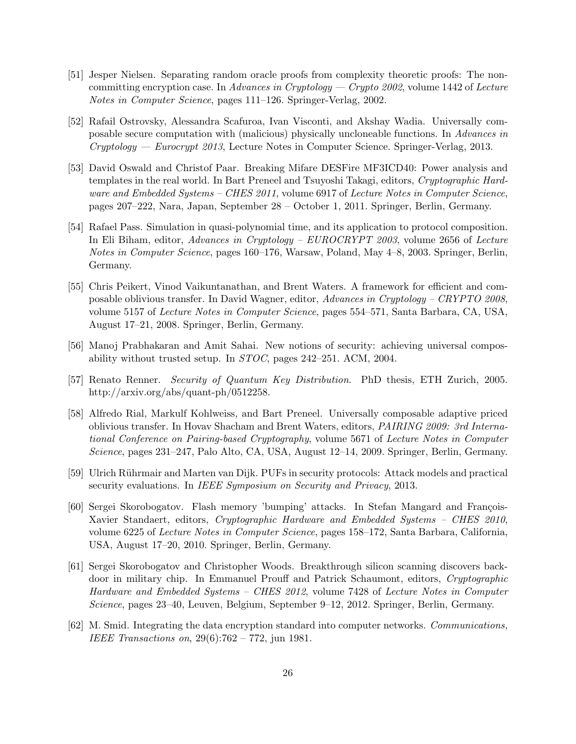- [51] Jesper Nielsen. Separating random oracle proofs from complexity theoretic proofs: The noncommitting encryption case. In Advances in Cryptology — Crypto 2002, volume 1442 of Lecture Notes in Computer Science, pages 111–126. Springer-Verlag, 2002.
- [52] Rafail Ostrovsky, Alessandra Scafuroa, Ivan Visconti, and Akshay Wadia. Universally composable secure computation with (malicious) physically uncloneable functions. In Advances in  $Cryptography - \textit{European 2013}$ , Lecture Notes in Computer Science. Springer-Verlag, 2013.
- [53] David Oswald and Christof Paar. Breaking Mifare DESFire MF3ICD40: Power analysis and templates in the real world. In Bart Preneel and Tsuyoshi Takagi, editors, Cryptographic Hardware and Embedded Systems – CHES 2011, volume 6917 of Lecture Notes in Computer Science, pages 207–222, Nara, Japan, September 28 – October 1, 2011. Springer, Berlin, Germany.
- [54] Rafael Pass. Simulation in quasi-polynomial time, and its application to protocol composition. In Eli Biham, editor, Advances in Cryptology – EUROCRYPT 2003, volume 2656 of Lecture Notes in Computer Science, pages 160–176, Warsaw, Poland, May 4–8, 2003. Springer, Berlin, Germany.
- [55] Chris Peikert, Vinod Vaikuntanathan, and Brent Waters. A framework for efficient and composable oblivious transfer. In David Wagner, editor, Advances in Cryptology – CRYPTO 2008, volume 5157 of Lecture Notes in Computer Science, pages 554–571, Santa Barbara, CA, USA, August 17–21, 2008. Springer, Berlin, Germany.
- [56] Manoj Prabhakaran and Amit Sahai. New notions of security: achieving universal composability without trusted setup. In STOC, pages 242–251. ACM, 2004.
- [57] Renato Renner. Security of Quantum Key Distribution. PhD thesis, ETH Zurich, 2005. http://arxiv.org/abs/quant-ph/0512258.
- [58] Alfredo Rial, Markulf Kohlweiss, and Bart Preneel. Universally composable adaptive priced oblivious transfer. In Hovav Shacham and Brent Waters, editors, PAIRING 2009: 3rd International Conference on Pairing-based Cryptography, volume 5671 of Lecture Notes in Computer Science, pages 231–247, Palo Alto, CA, USA, August 12–14, 2009. Springer, Berlin, Germany.
- [59] Ulrich R¨uhrmair and Marten van Dijk. PUFs in security protocols: Attack models and practical security evaluations. In *IEEE Symposium on Security and Privacy*, 2013.
- [60] Sergei Skorobogatov. Flash memory 'bumping' attacks. In Stefan Mangard and François-Xavier Standaert, editors, Cryptographic Hardware and Embedded Systems – CHES 2010, volume 6225 of Lecture Notes in Computer Science, pages 158–172, Santa Barbara, California, USA, August 17–20, 2010. Springer, Berlin, Germany.
- [61] Sergei Skorobogatov and Christopher Woods. Breakthrough silicon scanning discovers backdoor in military chip. In Emmanuel Prouff and Patrick Schaumont, editors, Cryptographic Hardware and Embedded Systems – CHES 2012, volume 7428 of Lecture Notes in Computer Science, pages 23–40, Leuven, Belgium, September 9–12, 2012. Springer, Berlin, Germany.
- [62] M. Smid. Integrating the data encryption standard into computer networks. Communications, IEEE Transactions on, 29(6):762 – 772, jun 1981.